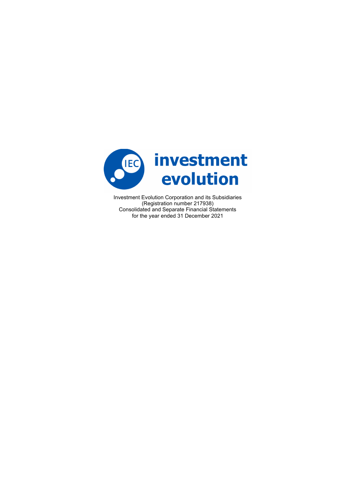

Investment Evolution Corporation and its Subsidiaries (Registration number 217938) Consolidated and Separate Financial Statements for the year ended 31 December 2021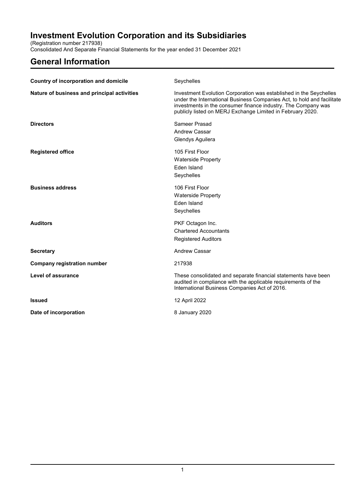(Registration number 217938)

Consolidated And Separate Financial Statements for the year ended 31 December 2021

# **General Information**

| <b>Country of incorporation and domicile</b> | Seychelles                                                                                                                                                                                                                                                                  |
|----------------------------------------------|-----------------------------------------------------------------------------------------------------------------------------------------------------------------------------------------------------------------------------------------------------------------------------|
| Nature of business and principal activities  | Investment Evolution Corporation was established in the Seychelles<br>under the International Business Companies Act, to hold and facilitate<br>investments in the consumer finance industry. The Company was<br>publicly listed on MERJ Exchange Limited in February 2020. |
| <b>Directors</b>                             | Sameer Prasad<br><b>Andrew Cassar</b><br>Glendys Aguilera                                                                                                                                                                                                                   |
| <b>Registered office</b>                     | 105 First Floor<br><b>Waterside Property</b><br>Eden Island<br>Seychelles                                                                                                                                                                                                   |
| <b>Business address</b>                      | 106 First Floor<br><b>Waterside Property</b><br>Eden Island<br>Seychelles                                                                                                                                                                                                   |
| <b>Auditors</b>                              | PKF Octagon Inc.<br><b>Chartered Accountants</b><br><b>Registered Auditors</b>                                                                                                                                                                                              |
| <b>Secretary</b>                             | <b>Andrew Cassar</b>                                                                                                                                                                                                                                                        |
| <b>Company registration number</b>           | 217938                                                                                                                                                                                                                                                                      |
| <b>Level of assurance</b>                    | These consolidated and separate financial statements have been<br>audited in compliance with the applicable requirements of the<br>International Business Companies Act of 2016.                                                                                            |
| <b>Issued</b>                                | 12 April 2022                                                                                                                                                                                                                                                               |
| Date of incorporation                        | 8 January 2020                                                                                                                                                                                                                                                              |
|                                              |                                                                                                                                                                                                                                                                             |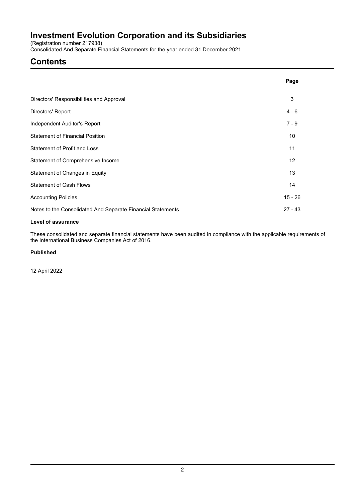(Registration number 217938)

Consolidated And Separate Financial Statements for the year ended 31 December 2021

## **Contents**

|                                                             | Page      |
|-------------------------------------------------------------|-----------|
| Directors' Responsibilities and Approval                    | 3         |
| Directors' Report                                           | $4 - 6$   |
| Independent Auditor's Report                                | $7 - 9$   |
| <b>Statement of Financial Position</b>                      | 10        |
| Statement of Profit and Loss                                | 11        |
| Statement of Comprehensive Income                           | 12        |
| Statement of Changes in Equity                              | 13        |
| <b>Statement of Cash Flows</b>                              | 14        |
| <b>Accounting Policies</b>                                  | $15 - 26$ |
| Notes to the Consolidated And Separate Financial Statements | $27 - 43$ |

## **Level of assurance**

These consolidated and separate financial statements have been audited in compliance with the applicable requirements of the International Business Companies Act of 2016.

## **Published**

12 April 2022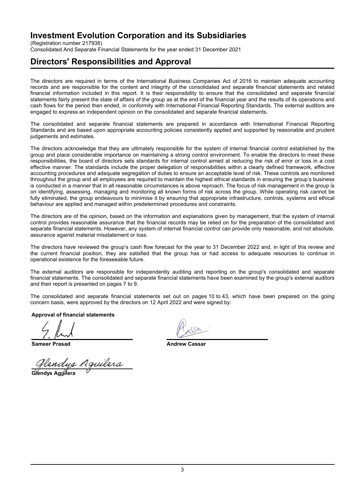(Registration number 217938)

Consolidated And Separate Financial Statements for the year ended 31 December 2021

## **Directors' Responsibilities and Approval**

The directors are required in terms of the International Business Companies Act of 2016 to maintain adequate accounting records and are responsible for the content and integrity of the consolidated and separate financial statements and related financial information included in this report. It is their responsibility to ensure that the consolidated and separate financial statements fairly present the state of affairs of the group as at the end of the financial year and the results of its operations and cash flows for the period then ended, in conformity with International Financial Reporting Standards. The external auditors are engaged to express an independent opinion on the consolidated and separate financial statements.

The consolidated and separate financial statements are prepared in accordance with International Financial Reporting Standards and are based upon appropriate accounting policies consistently applied and supported by reasonable and prudent judgements and estimates.

The directors acknowledge that they are ultimately responsible for the system of internal financial control established by the group and place considerable importance on maintaining a strong control environment. To enable the directors to meet these responsibilities, the board of directors sets standards for internal control aimed at reducing the risk of error or loss in a cost effective manner. The standards include the proper delegation of responsibilities within a clearly defined framework, effective accounting procedures and adequate segregation of duties to ensure an acceptable level of risk. These controls are monitored throughout the group and all employees are required to maintain the highest ethical standards in ensuring the group's business is conducted in a manner that in all reasonable circumstances is above reproach. The focus of risk management in the group is on identifying, assessing, managing and monitoring all known forms of risk across the group. While operating risk cannot be fully eliminated, the group endeavours to minimise it by ensuring that appropriate infrastructure, controls, systems and ethical behaviour are applied and managed within predetermined procedures and constraints.

The directors are of the opinion, based on the information and explanations given by management, that the system of internal control provides reasonable assurance that the financial records may be relied on for the preparation of the consolidated and separate financial statements. However, any system of internal financial control can provide only reasonable, and not absolute, assurance against material misstatement or loss.

The directors have reviewed the group's cash flow forecast for the year to 31 December 2022 and, in light of this review and the current financial position, they are satisfied that the group has or had access to adequate resources to continue in operational existence for the foreseeable future.

The external auditors are responsible for independently auditing and reporting on the group's consolidated and separate financial statements. The consolidated and separate financial statements have been examined by the group's external auditors and their report is presented on pages 7 to 9.

The consolidated and separate financial statements set out on pages 10 to 43, which have been prepared on the going concern basis, were approved by the directors on 12 April 2022 and were signed by:

**Approval of financial statements**

**Sameer Prasad Andrew Cassar** 

Glendys Aguilera

**Glendys Aguilera**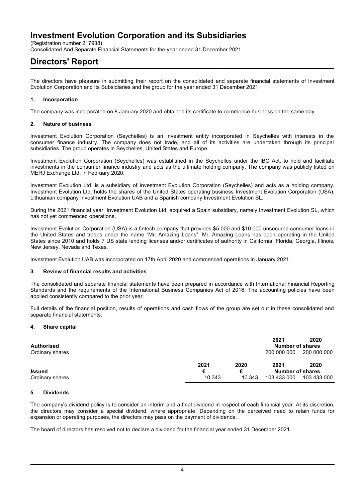(Registration number 217938)

Consolidated And Separate Financial Statements for the year ended 31 December 2021

## **Directors' Report**

The directors have pleasure in submitting their report on the consolidated and separate financial statements of Investment Evolution Corporation and its Subsidiaries and the group for the year ended 31 December 2021.

## **1. Incorporation**

The company was incorporated on 8 January 2020 and obtained its certificate to commence business on the same day.

### **2. Nature of business**

Investment Evolution Corporation (Seychelles) is an investment entity incorporated in Seychelles with interests in the consumer finance industry. The company does not trade, and all of its activities are undertaken through its principal subsidiaries. The group operates in Seychelles, United States and Europe.

Investment Evolution Corporation (Seychelles) was established in the Seychelles under the IBC Act, to hold and facilitate investments in the consumer finance industry and acts as the ultimate holding company. The company was publicly listed on MERJ Exchange Ltd. in February 2020.

Investment Evolution Ltd. is a subsidiary of Investment Evolution Corporation (Seychelles) and acts as a holding company. Investment Evolution Ltd. holds the shares of the United States operating business Investment Evolution Corporation (USA), Lithuanian company Investment Evolution UAB and a Spanish company Investment Evolution SL.

During the 2021 financial year, Investment Evolution Ltd. acquired a Spain subsidiary, namely Investment Evolution SL, which has not yet commenced operations.

Investment Evolution Corporation (USA) is a fintech company that provides \$5 000 and \$10 000 unsecured consumer loans in the United States and trades under the name "Mr. Amazing Loans". Mr. Amazing Loans has been operating in the United States since 2010 and holds 7 US state lending licenses and/or certificates of authority in California, Florida, Georgia, Illinois, New Jersey, Nevada and Texas.

Investment Evolution UAB was incorporated on 17th April 2020 and commenced operations in January 2021.

## **3. Review of financial results and activities**

The consolidated and separate financial statements have been prepared in accordance with International Financial Reporting Standards and the requirements of the International Business Companies Act of 2016. The accounting policies have been applied consistently compared to the prior year.

Full details of the financial position, results of operations and cash flows of the group are set out in these consolidated and separate financial statements.

## **4. Share capital**

| Authorised      |        |        | 2021<br><b>Number of shares</b> | 2020        |
|-----------------|--------|--------|---------------------------------|-------------|
| Ordinary shares |        |        | 200 000 000                     | 200 000 000 |
|                 | 2021   | 2020   | 2021                            | 2020        |
| <b>Issued</b>   | €      | €      | <b>Number of shares</b>         |             |
| Ordinary shares | 10 343 | 10 343 | 103 433 000                     | 103 433 000 |

## **5. Dividends**

The company's dividend policy is to consider an interim and a final dividend in respect of each financial year. At its discretion, the directors may consider a special dividend, where appropriate. Depending on the perceived need to retain funds for expansion or operating purposes, the directors may pass on the payment of dividends.

The board of directors has resolved not to declare a dividend for the financial year ended 31 December 2021.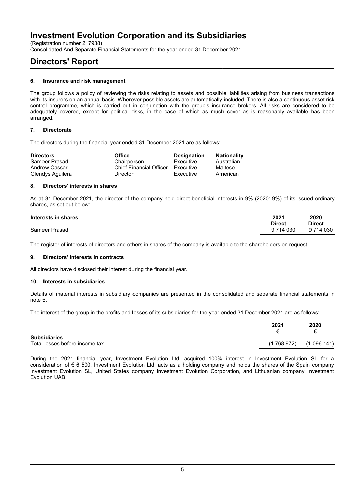(Registration number 217938)

Consolidated And Separate Financial Statements for the year ended 31 December 2021

## **Directors' Report**

## **6. Insurance and risk management**

The group follows a policy of reviewing the risks relating to assets and possible liabilities arising from business transactions with its insurers on an annual basis. Wherever possible assets are automatically included. There is also a continuous asset risk control programme, which is carried out in conjunction with the group's insurance brokers. All risks are considered to be adequately covered, except for political risks, in the case of which as much cover as is reasonably available has been arranged.

## **7. Directorate**

The directors during the financial year ended 31 December 2021 are as follows:

| <b>Directors</b> | <b>Office</b>                  | <b>Designation</b> | <b>Nationality</b> |
|------------------|--------------------------------|--------------------|--------------------|
| Sameer Prasad    | Chairperson                    | Executive          | Australian         |
| Andrew Cassar    | <b>Chief Financial Officer</b> | Executive          | Maltese            |
| Glendys Aguilera | Director                       | Executive          | American           |

### **8. Directors' interests in shares**

As at 31 December 2021, the director of the company held direct beneficial interests in 9% (2020: 9%) of its issued ordinary shares, as set out below:

| Interests in shares | 2021<br><b>Direct</b> | 2020<br><b>Direct</b> |
|---------------------|-----------------------|-----------------------|
| Sameer Prasad       | 9 714 030             | 9 714 030             |

The register of interests of directors and others in shares of the company is available to the shareholders on request.

## **9. Directors' interests in contracts**

All directors have disclosed their interest during the financial year.

## **10. Interests in subsidiaries**

Details of material interests in subsidiary companies are presented in the consolidated and separate financial statements in note 5.

The interest of the group in the profits and losses of its subsidiaries for the year ended 31 December 2021 are as follows:

|                                | 2021                    | 2020 |
|--------------------------------|-------------------------|------|
| <b>Subsidiaries</b>            |                         |      |
|                                |                         |      |
| Total losses before income tax | $(1768972)$ $(1096141)$ |      |

During the 2021 financial year, Investment Evolution Ltd. acquired 100% interest in Investment Evolution SL for a consideration of € 6 500. Investment Evolution Ltd. acts as a holding company and holds the shares of the Spain company Investment Evolution SL, United States company Investment Evolution Corporation, and Lithuanian company Investment Evolution UAB.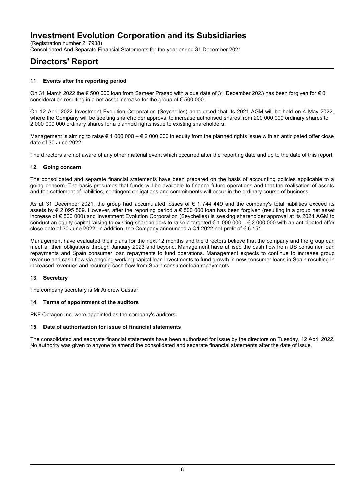(Registration number 217938)

Consolidated And Separate Financial Statements for the year ended 31 December 2021

## **Directors' Report**

## **11. Events after the reporting period**

On 31 March 2022 the € 500 000 loan from Sameer Prasad with a due date of 31 December 2023 has been forgiven for € 0 consideration resulting in a net asset increase for the group of € 500 000.

On 12 April 2022 Investment Evolution Corporation (Seychelles) announced that its 2021 AGM will be held on 4 May 2022, where the Company will be seeking shareholder approval to increase authorised shares from 200 000 000 ordinary shares to 2 000 000 000 ordinary shares for a planned rights issue to existing shareholders.

Management is aiming to raise  $\epsilon$  1 000 000 –  $\epsilon$  2 000 000 in equity from the planned rights issue with an anticipated offer close date of 30 June 2022.

The directors are not aware of any other material event which occurred after the reporting date and up to the date of this report

## **12. Going concern**

The consolidated and separate financial statements have been prepared on the basis of accounting policies applicable to a going concern. The basis presumes that funds will be available to finance future operations and that the realisation of assets and the settlement of liabilities, contingent obligations and commitments will occur in the ordinary course of business.

As at 31 December 2021, the group had accumulated losses of € 1 744 449 and the company's total liabilities exceed its assets by € 2 095 509. However, after the reporting period a € 500 000 loan has been forgiven (resulting in a group net asset increase of € 500 000) and Investment Evolution Corporation (Seychelles) is seeking shareholder approval at its 2021 AGM to conduct an equity capital raising to existing shareholders to raise a targeted  $\epsilon$  1 000 000 –  $\epsilon$  2 000 000 with an anticipated offer close date of 30 June 2022. In addition, the Company announced a Q1 2022 net profit of  $\epsilon$  6 151.

Management have evaluated their plans for the next 12 months and the directors believe that the company and the group can meet all their obligations through January 2023 and beyond. Management have utilised the cash flow from US consumer loan repayments and Spain consumer loan repayments to fund operations. Management expects to continue to increase group revenue and cash flow via ongoing working capital loan investments to fund growth in new consumer loans in Spain resulting in increased revenues and recurring cash flow from Spain consumer loan repayments.

## **13. Secretary**

The company secretary is Mr Andrew Cassar.

## **14. Terms of appointment of the auditors**

PKF Octagon Inc. were appointed as the company's auditors.

## **15. Date of authorisation for issue of financial statements**

The consolidated and separate financial statements have been authorised for issue by the directors on Tuesday, 12 April 2022. No authority was given to anyone to amend the consolidated and separate financial statements after the date of issue.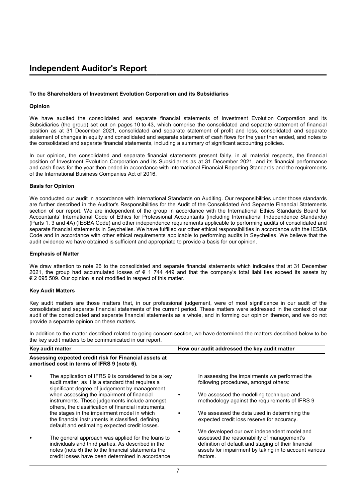### **To the Shareholders of Investment Evolution Corporation and its Subsidiaries**

### **Opinion**

We have audited the consolidated and separate financial statements of Investment Evolution Corporation and its Subsidiaries (the group) set out on pages 10 to 43, which comprise the consolidated and separate statement of financial position as at 31 December 2021, consolidated and separate statement of profit and loss, consolidated and separate statement of changes in equity and consolidated and separate statement of cash flows for the year then ended, and notes to the consolidated and separate financial statements, including a summary of significant accounting policies.

In our opinion, the consolidated and separate financial statements present fairly, in all material respects, the financial position of Investment Evolution Corporation and its Subsidiaries as at 31 December 2021, and its financial performance and cash flows for the year then ended in accordance with International Financial Reporting Standards and the requirements of the International Business Companies Act of 2016.

### **Basis for Opinion**

We conducted our audit in accordance with International Standards on Auditing. Our responsibilities under those standards are further described in the Auditor's Responsibilities for the Audit of the Consolidated And Separate Financial Statements section of our report. We are independent of the group in accordance with the International Ethics Standards Board for Accountants' International Code of Ethics for Professional Accountants (including International Independence Standards) (Parts 1, 3 and 4A) (IESBA Code) and other independence requirements applicable to performing audits of consolidated and separate financial statements in Seychelles. We have fulfilled our other ethical responsibilities in accordance with the IESBA Code and in accordance with other ethical requirements applicable to performing audits in Seychelles. We believe that the audit evidence we have obtained is sufficient and appropriate to provide a basis for our opinion.

#### **Emphasis of Matter**

We draw attention to note 26 to the consolidated and separate financial statements which indicates that at 31 December 2021, the group had accumulated losses of € 1 744 449 and that the company's total liabilities exceed its assets by € 2 095 509. Our opinion is not modified in respect of this matter.

#### **Key Audit Matters**

Key audit matters are those matters that, in our professional judgement, were of most significance in our audit of the consolidated and separate financial statements of the current period. These matters were addressed in the context of our audit of the consolidated and separate financial statements as a whole, and in forming our opinion thereon, and we do not provide a separate opinion on these matters.

In addition to the matter described related to going concern section, we have determined the matters described below to be the key audit matters to be communicated in our report.

| Key audit matter |                                                                                                                                                               | How our audit addressed the key audit matter                                                                                                                                                              |  |
|------------------|---------------------------------------------------------------------------------------------------------------------------------------------------------------|-----------------------------------------------------------------------------------------------------------------------------------------------------------------------------------------------------------|--|
|                  | Assessing expected credit risk for Financial assets at<br>amortised cost in terms of IFRS 9 (note 6).                                                         |                                                                                                                                                                                                           |  |
| ٠                | The application of IFRS 9 is considered to be a key<br>audit matter, as it is a standard that requires a<br>significant degree of judgement by management     | In assessing the impairments we performed the<br>following procedures, amongst others:                                                                                                                    |  |
|                  | when assessing the impairment of financial<br>instruments. These judgements include amongst<br>others, the classification of financial instruments,           | We assessed the modelling technique and<br>methodology against the requirements of IFRS 9                                                                                                                 |  |
|                  | the stages in the impairment model in which<br>the financial instruments is classified, defining<br>default and estimating expected credit losses.            | We assessed the data used in determining the<br>expected credit loss reserve for accuracy.                                                                                                                |  |
| ٠                | The general approach was applied for the loans to<br>individuals and third parties. As described in the<br>notes (note 6) the to the financial statements the | We developed our own independent model and<br>assessed the reasonability of management's<br>definition of default and staging of their financial<br>assets for impairment by taking in to account various |  |

factors.

credit losses have been determined in accordance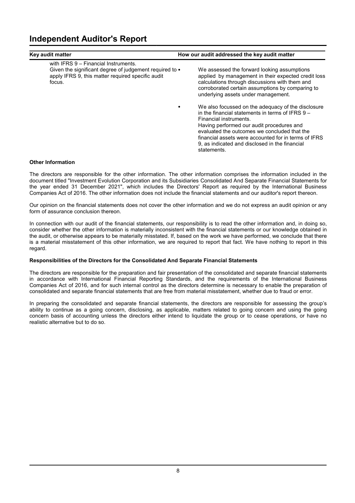| Key audit matter                                                                                                                                                       | How our audit addressed the key audit matter                                                                                                                                                                                                                                                                                                                                                                                                                                                                                                                                                                |  |  |  |  |
|------------------------------------------------------------------------------------------------------------------------------------------------------------------------|-------------------------------------------------------------------------------------------------------------------------------------------------------------------------------------------------------------------------------------------------------------------------------------------------------------------------------------------------------------------------------------------------------------------------------------------------------------------------------------------------------------------------------------------------------------------------------------------------------------|--|--|--|--|
| with IFRS 9 - Financial Instruments.<br>Given the significant degree of judgement required to $\bullet$<br>apply IFRS 9, this matter required specific audit<br>focus. | We assessed the forward looking assumptions<br>applied by management in their expected credit loss<br>calculations through discussions with them and<br>corroborated certain assumptions by comparing to<br>underlying assets under management.<br>We also focussed on the adequacy of the disclosure<br>in the financial statements in terms of IFRS $9 -$<br>Financial instruments.<br>Having performed our audit procedures and<br>evaluated the outcomes we concluded that the<br>financial assets were accounted for in terms of IFRS<br>9, as indicated and disclosed in the financial<br>statements. |  |  |  |  |
|                                                                                                                                                                        |                                                                                                                                                                                                                                                                                                                                                                                                                                                                                                                                                                                                             |  |  |  |  |

## **Other Information**

The directors are responsible for the other information. The other information comprises the information included in the document titled "Investment Evolution Corporation and its Subsidiaries Consolidated And Separate Financial Statements for the year ended 31 December 2021", which includes the Directors' Report as required by the International Business Companies Act of 2016. The other information does not include the financial statements and our auditor's report thereon.

Our opinion on the financial statements does not cover the other information and we do not express an audit opinion or any form of assurance conclusion thereon.

In connection with our audit of the financial statements, our responsibility is to read the other information and, in doing so, consider whether the other information is materially inconsistent with the financial statements or our knowledge obtained in the audit, or otherwise appears to be materially misstated. If, based on the work we have performed, we conclude that there is a material misstatement of this other information, we are required to report that fact. We have nothing to report in this regard.

## **Responsibilities of the Directors for the Consolidated And Separate Financial Statements**

The directors are responsible for the preparation and fair presentation of the consolidated and separate financial statements in accordance with International Financial Reporting Standards, and the requirements of the International Business Companies Act of 2016, and for such internal control as the directors determine is necessary to enable the preparation of consolidated and separate financial statements that are free from material misstatement, whether due to fraud or error.

In preparing the consolidated and separate financial statements, the directors are responsible for assessing the group's ability to continue as a going concern, disclosing, as applicable, matters related to going concern and using the going concern basis of accounting unless the directors either intend to liquidate the group or to cease operations, or have no realistic alternative but to do so.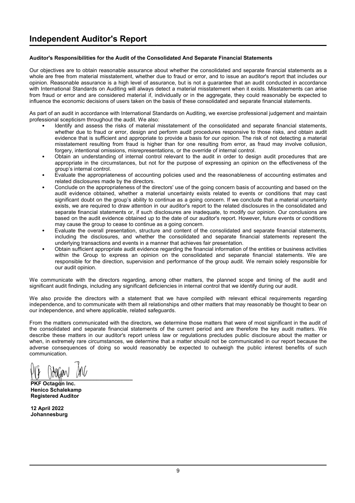## **Auditor's Responsibilities for the Audit of the Consolidated And Separate Financial Statements**

Our objectives are to obtain reasonable assurance about whether the consolidated and separate financial statements as a whole are free from material misstatement, whether due to fraud or error, and to issue an auditor's report that includes our opinion. Reasonable assurance is a high level of assurance, but is not a guarantee that an audit conducted in accordance with International Standards on Auditing will always detect a material misstatement when it exists. Misstatements can arise from fraud or error and are considered material if, individually or in the aggregate, they could reasonably be expected to influence the economic decisions of users taken on the basis of these consolidated and separate financial statements.

As part of an audit in accordance with International Standards on Auditing, we exercise professional judgement and maintain professional scepticism throughout the audit. We also:

- Identify and assess the risks of material misstatement of the consolidated and separate financial statements, whether due to fraud or error, design and perform audit procedures responsive to those risks, and obtain audit evidence that is sufficient and appropriate to provide a basis for our opinion. The risk of not detecting a material misstatement resulting from fraud is higher than for one resulting from error, as fraud may involve collusion, forgery, intentional omissions, misrepresentations, or the override of internal control.
- Obtain an understanding of internal control relevant to the audit in order to design audit procedures that are appropriate in the circumstances, but not for the purpose of expressing an opinion on the effectiveness of the group's internal control.
- Evaluate the appropriateness of accounting policies used and the reasonableness of accounting estimates and related disclosures made by the directors.
- Conclude on the appropriateness of the directors' use of the going concern basis of accounting and based on the audit evidence obtained, whether a material uncertainty exists related to events or conditions that may cast significant doubt on the group's ability to continue as a going concern. If we conclude that a material uncertainty exists, we are required to draw attention in our auditor's report to the related disclosures in the consolidated and separate financial statements or, if such disclosures are inadequate, to modify our opinion. Our conclusions are based on the audit evidence obtained up to the date of our auditor's report. However, future events or conditions may cause the group to cease to continue as a going concern.
- Evaluate the overall presentation, structure and content of the consolidated and separate financial statements, including the disclosures, and whether the consolidated and separate financial statements represent the underlying transactions and events in a manner that achieves fair presentation.
- Obtain sufficient appropriate audit evidence regarding the financial information of the entities or business activities within the Group to express an opinion on the consolidated and separate financial statements. We are responsible for the direction, supervision and performance of the group audit. We remain solely responsible for our audit opinion.

We communicate with the directors regarding, among other matters, the planned scope and timing of the audit and significant audit findings, including any significant deficiencies in internal control that we identify during our audit.

We also provide the directors with a statement that we have compiled with relevant ethical requirements regarding independence, and to communicate with them all relationships and other matters that may reasonably be thought to bear on our independence, and where applicable, related safeguards.

From the matters communicated with the directors, we determine those matters that were of most significant in the audit of the consolidated and separate financial statements of the current period and are therefore the key audit matters. We describe these matters in our auditor's report unless law or regulations precludes public disclosure about the matter or when, in extremely rare circumstances, we determine that a matter should not be communicated in our report because the adverse consequences of doing so would reasonably be expected to outweigh the public interest benefits of such communication.

 $U$  vigor  $V$ 

**PKF Octagon Inc. Henico Schalekamp Registered Auditor**

**12 April 2022 Johannesburg**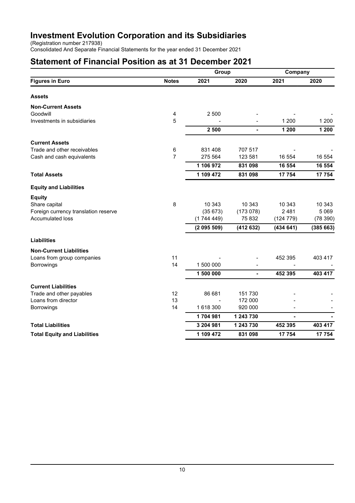(Registration number 217938)

Consolidated And Separate Financial Statements for the year ended 31 December 2021

## **Statement of Financial Position as at 31 December 2021**

|                                      |                |           | Group         |           | Company  |  |
|--------------------------------------|----------------|-----------|---------------|-----------|----------|--|
| <b>Figures in Euro</b>               | <b>Notes</b>   | 2021      | 2020          | 2021      | 2020     |  |
| <b>Assets</b>                        |                |           |               |           |          |  |
| <b>Non-Current Assets</b>            |                |           |               |           |          |  |
| Goodwill                             | 4              | 2 500     |               |           |          |  |
| Investments in subsidiaries          | 5              |           |               | 1 200     | 1 200    |  |
|                                      |                | 2 500     | ٠             | 1 200     | 1 200    |  |
| <b>Current Assets</b>                |                |           |               |           |          |  |
| Trade and other receivables          | $\,6\,$        | 831 408   | 707 517       |           |          |  |
| Cash and cash equivalents            | $\overline{7}$ | 275 564   | 123 581       | 16 554    | 16 554   |  |
|                                      |                | 1 106 972 | 831 098       | 16 554    | 16 554   |  |
| <b>Total Assets</b>                  |                | 1 109 472 | 831 098       | 17 754    | 17754    |  |
| <b>Equity and Liabilities</b>        |                |           |               |           |          |  |
| <b>Equity</b>                        |                |           |               |           |          |  |
| Share capital                        | 8              | 10 343    | 10 343        | 10 343    | 10 343   |  |
| Foreign currency translation reserve |                | (35673)   | (173078)      | 2 4 8 1   | 5 0 6 9  |  |
| Accumulated loss                     |                | (1744449) | 75 832        | (124 779) | (78390)  |  |
|                                      |                | (2095509) | (412632)      | (434641)  | (385663) |  |
| <b>Liabilities</b>                   |                |           |               |           |          |  |
| <b>Non-Current Liabilities</b>       |                |           |               |           |          |  |
| Loans from group companies           | 11             |           |               | 452 395   | 403 417  |  |
| <b>Borrowings</b>                    | 14             | 1 500 000 |               |           |          |  |
|                                      |                | 1 500 000 | $\frac{1}{2}$ | 452 395   | 403 417  |  |
| <b>Current Liabilities</b>           |                |           |               |           |          |  |
| Trade and other payables             | 12             | 86 681    | 151 730       |           |          |  |
| Loans from director                  | 13             |           | 172 000       |           |          |  |
| <b>Borrowings</b>                    | 14             | 1 618 300 | 920 000       |           |          |  |
|                                      |                | 1704981   | 1 243 730     | ٠         |          |  |
| <b>Total Liabilities</b>             |                | 3 204 981 | 1 243 730     | 452 395   | 403 417  |  |
| <b>Total Equity and Liabilities</b>  |                | 1 109 472 | 831 098       | 17 754    | 17 754   |  |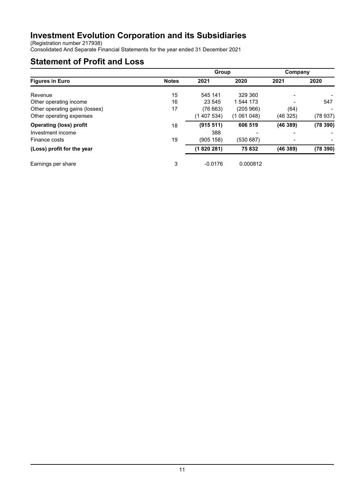(Registration number 217938)

Consolidated And Separate Financial Statements for the year ended 31 December 2021

# **Statement of Profit and Loss**

| <b>Figures in Euro</b>         | <b>Notes</b> | Group       |             | Company  |          |
|--------------------------------|--------------|-------------|-------------|----------|----------|
|                                |              | 2021        | 2020        | 2021     | 2020     |
| Revenue                        | 15           | 545 141     | 329 360     |          |          |
| Other operating income         | 16           | 23 545      | 1 544 173   |          | 547      |
| Other operating gains (losses) | 17           | (76 663)    | (205 966)   | (64)     |          |
| Other operating expenses       |              | (1 407 534) | (1 061 048) | (46 325) | (78 937) |
| <b>Operating (loss) profit</b> | 18           | (915 511)   | 606 519     | (46389)  | (78390)  |
| Investment income              |              | 388         |             |          |          |
| Finance costs                  | 19           | (905 158)   | (530 687)   |          |          |
| (Loss) profit for the year     |              | (1820281)   | 75 832      | (46389)  | (78390)  |
| Earnings per share             | 3            | $-0.0176$   | 0.000812    |          |          |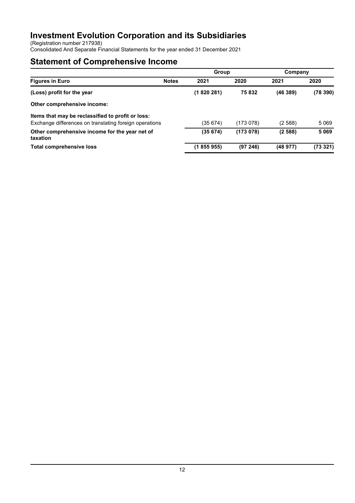(Registration number 217938)

Consolidated And Separate Financial Statements for the year ended 31 December 2021

## **Statement of Comprehensive Income**

|                                                                                                             |              | Group     |           | Company |           |
|-------------------------------------------------------------------------------------------------------------|--------------|-----------|-----------|---------|-----------|
| <b>Figures in Euro</b>                                                                                      | <b>Notes</b> | 2021      | 2020      | 2021    | 2020      |
| (Loss) profit for the year                                                                                  |              | (1820281) | 75832     | (46389) | (78, 390) |
| Other comprehensive income:                                                                                 |              |           |           |         |           |
| Items that may be reclassified to profit or loss:<br>Exchange differences on translating foreign operations |              | (35 674)  | (173 078) | (2588)  | 5 0 6 9   |
| Other comprehensive income for the year net of<br>taxation                                                  |              | (35674)   | (173078)  | (2588)  | 5 0 6 9   |
| Total comprehensive loss                                                                                    |              | (1855955) | (97246)   | (48977) | (73321)   |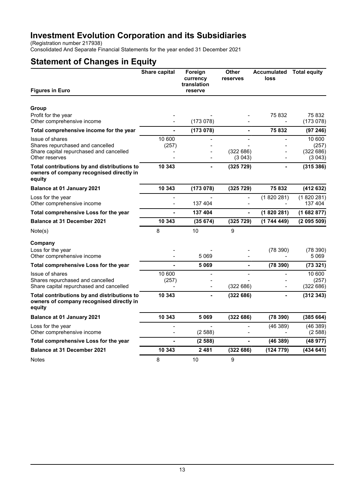(Registration number 217938)

Consolidated And Separate Financial Statements for the year ended 31 December 2021

## **Statement of Changes in Equity**

|                                                                                                   | <b>Share capital</b> | Foreign<br>currency<br>translation | Other<br>reserves | <b>Accumulated</b><br>loss | <b>Total equity</b> |
|---------------------------------------------------------------------------------------------------|----------------------|------------------------------------|-------------------|----------------------------|---------------------|
| <b>Figures in Euro</b>                                                                            |                      | reserve                            |                   |                            |                     |
| Group                                                                                             |                      |                                    |                   |                            |                     |
| Profit for the year                                                                               |                      |                                    |                   | 75 832                     | 75 832              |
| Other comprehensive income                                                                        |                      | (173078)                           |                   |                            | (173078)            |
| Total comprehensive income for the year                                                           |                      | (173078)                           | L.                | 75 832                     | (97246)             |
| <b>Issue of shares</b>                                                                            | 10 600               |                                    |                   | $\overline{a}$             | 10 600              |
| Shares repurchased and cancelled                                                                  | (257)                |                                    |                   |                            | (257)               |
| Share capital repurchased and cancelled                                                           |                      |                                    | (322686)          |                            | (322686)            |
| Other reserves                                                                                    |                      |                                    | (3043)            |                            | (3.043)             |
| Total contributions by and distributions to<br>owners of company recognised directly in<br>equity | 10 343               |                                    | (325729)          |                            | (315 386)           |
| <b>Balance at 01 January 2021</b>                                                                 | 10 343               | (173078)                           | (325729)          | 75832                      | (412632)            |
| Loss for the year                                                                                 |                      |                                    |                   | (1820281)                  | (1820281)           |
| Other comprehensive income                                                                        |                      | 137 404                            |                   |                            | 137 404             |
| Total comprehensive Loss for the year                                                             |                      | 137 404                            |                   | (1820281)                  | (1682877)           |
| <b>Balance at 31 December 2021</b>                                                                | 10 343               | (35674)                            | (325729)          | (1744449)                  | (2095509)           |
| Note(s)                                                                                           | 8                    | 10                                 | 9                 |                            |                     |
| Company                                                                                           |                      |                                    |                   |                            |                     |
| Loss for the year                                                                                 |                      |                                    |                   | (78 390)                   | (78390)             |
| Other comprehensive income                                                                        |                      | 5069                               |                   |                            | 5 0 6 9             |
| Total comprehensive Loss for the year                                                             |                      | 5 0 6 9                            | L.                | (78390)                    | (73321)             |
| Issue of shares                                                                                   | 10 600               | $\blacksquare$                     |                   |                            | 10 600              |
| Shares repurchased and cancelled                                                                  | (257)                |                                    |                   |                            | (257)               |
| Share capital repurchased and cancelled                                                           |                      | $\blacksquare$                     | (322686)          | $\blacksquare$             | (322686)            |
| Total contributions by and distributions to<br>owners of company recognised directly in<br>equity | 10 343               |                                    | (322686)          |                            | (312343)            |
| Balance at 01 January 2021                                                                        | 10 343               | 5 0 6 9                            | (322686)          | (78390)                    | (385664)            |
| Loss for the year<br>Other comprehensive income                                                   |                      | (2588)                             |                   | (46389)                    | (46389)<br>(2588)   |
| Total comprehensive Loss for the year                                                             |                      | (2588)                             | $\blacksquare$    | (46389)                    | (48977)             |
| <b>Balance at 31 December 2021</b>                                                                | 10 343               | 2 4 8 1                            | (322686)          | (124 779)                  | (434641)            |
| <b>Notes</b>                                                                                      | 8                    | 10                                 | 9                 |                            |                     |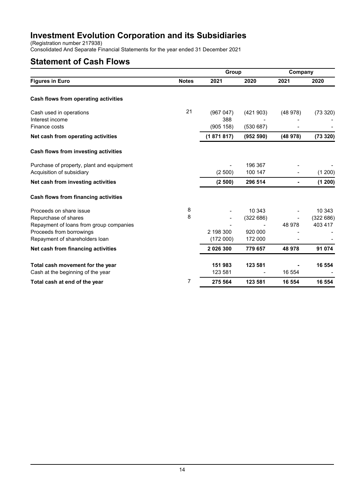(Registration number 217938)

Consolidated And Separate Financial Statements for the year ended 31 December 2021

## **Statement of Cash Flows**

|                                           |              | Group         |           | Company |          |
|-------------------------------------------|--------------|---------------|-----------|---------|----------|
| <b>Figures in Euro</b>                    | <b>Notes</b> | 2021          | 2020      | 2021    | 2020     |
| Cash flows from operating activities      |              |               |           |         |          |
| Cash used in operations                   | 21           | (967047)      | (421903)  | (48978) | (73320)  |
| Interest income                           |              | 388           |           |         |          |
| Finance costs                             |              | (905 158)     | (530687)  |         |          |
| Net cash from operating activities        |              | (1871817)     | (952 590) | (48978) | (73320)  |
| Cash flows from investing activities      |              |               |           |         |          |
| Purchase of property, plant and equipment |              |               | 196 367   |         |          |
| Acquisition of subsidiary                 |              | (2500)        | 100 147   |         | (1 200)  |
| Net cash from investing activities        |              | (2500)        | 296 514   |         | (1 200)  |
| Cash flows from financing activities      |              |               |           |         |          |
| Proceeds on share issue                   | 8            |               | 10 343    |         | 10 343   |
| Repurchase of shares                      | 8            |               | (322686)  |         | (322686) |
| Repayment of loans from group companies   |              |               |           | 48 978  | 403 417  |
| Proceeds from borrowings                  |              | 2 198 300     | 920 000   |         |          |
| Repayment of shareholders loan            |              | (172000)      | 172 000   |         |          |
| Net cash from financing activities        |              | 2 0 2 6 3 0 0 | 779 657   | 48 978  | 91 074   |
| Total cash movement for the year          |              | 151 983       | 123 581   |         | 16 554   |
| Cash at the beginning of the year         |              | 123 581       |           | 16 554  |          |
| Total cash at end of the year             | 7            | 275 564       | 123 581   | 16 554  | 16 554   |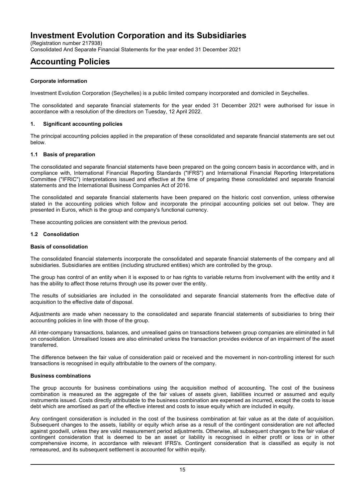(Registration number 217938)

Consolidated And Separate Financial Statements for the year ended 31 December 2021

## **Accounting Policies**

## **Corporate information**

Investment Evolution Corporation (Seychelles) is a public limited company incorporated and domiciled in Seychelles.

The consolidated and separate financial statements for the year ended 31 December 2021 were authorised for issue in accordance with a resolution of the directors on Tuesday, 12 April 2022.

### **1. Significant accounting policies**

The principal accounting policies applied in the preparation of these consolidated and separate financial statements are set out below.

## **1.1 Basis of preparation**

The consolidated and separate financial statements have been prepared on the going concern basis in accordance with, and in compliance with, International Financial Reporting Standards ("IFRS") and International Financial Reporting Interpretations Committee ("IFRIC") interpretations issued and effective at the time of preparing these consolidated and separate financial statements and the International Business Companies Act of 2016.

The consolidated and separate financial statements have been prepared on the historic cost convention, unless otherwise stated in the accounting policies which follow and incorporate the principal accounting policies set out below. They are presented in Euros, which is the group and company's functional currency.

These accounting policies are consistent with the previous period.

#### **1.2 Consolidation**

### **Basis of consolidation**

The consolidated financial statements incorporate the consolidated and separate financial statements of the company and all subsidiaries. Subsidiaries are entities (including structured entities) which are controlled by the group.

The group has control of an entity when it is exposed to or has rights to variable returns from involvement with the entity and it has the ability to affect those returns through use its power over the entity.

The results of subsidiaries are included in the consolidated and separate financial statements from the effective date of acquisition to the effective date of disposal.

Adjustments are made when necessary to the consolidated and separate financial statements of subsidiaries to bring their accounting policies in line with those of the group.

All inter-company transactions, balances, and unrealised gains on transactions between group companies are eliminated in full on consolidation. Unrealised losses are also eliminated unless the transaction provides evidence of an impairment of the asset transferred.

The difference between the fair value of consideration paid or received and the movement in non-controlling interest for such transactions is recognised in equity attributable to the owners of the company.

### **Business combinations**

The group accounts for business combinations using the acquisition method of accounting. The cost of the business combination is measured as the aggregate of the fair values of assets given, liabilities incurred or assumed and equity instruments issued. Costs directly attributable to the business combination are expensed as incurred, except the costs to issue debt which are amortised as part of the effective interest and costs to issue equity which are included in equity.

Any contingent consideration is included in the cost of the business combination at fair value as at the date of acquisition. Subsequent changes to the assets, liability or equity which arise as a result of the contingent consideration are not affected against goodwill, unless they are valid measurement period adjustments. Otherwise, all subsequent changes to the fair value of contingent consideration that is deemed to be an asset or liability is recognised in either profit or loss or in other comprehensive income, in accordance with relevant IFRS's. Contingent consideration that is classified as equity is not remeasured, and its subsequent settlement is accounted for within equity.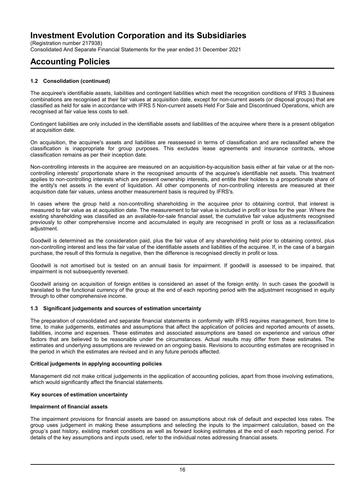(Registration number 217938) Consolidated And Separate Financial Statements for the year ended 31 December 2021

# **Accounting Policies**

## **1.2 Consolidation (continued)**

The acquiree's identifiable assets, liabilities and contingent liabilities which meet the recognition conditions of IFRS 3 Business combinations are recognised at their fair values at acquisition date, except for non-current assets (or disposal groups) that are classified as held for sale in accordance with IFRS 5 Non-current assets Held For Sale and Discontinued Operations, which are recognised at fair value less costs to sell.

Contingent liabilities are only included in the identifiable assets and liabilities of the acquiree where there is a present obligation at acquisition date.

On acquisition, the acquiree's assets and liabilities are reassessed in terms of classification and are reclassified where the classification is inappropriate for group purposes. This excludes lease agreements and insurance contracts, whose classification remains as per their inception date.

Non-controlling interests in the acquiree are measured on an acquisition-by-acquisition basis either at fair value or at the noncontrolling interests' proportionate share in the recognised amounts of the acquiree's identifiable net assets. This treatment applies to non-controlling interests which are present ownership interests, and entitle their holders to a proportionate share of the entity's net assets in the event of liquidation. All other components of non-controlling interests are measured at their acquisition date fair values, unless another measurement basis is required by IFRS's.

In cases where the group held a non-controlling shareholding in the acquiree prior to obtaining control, that interest is measured to fair value as at acquisition date. The measurement to fair value is included in profit or loss for the year. Where the existing shareholding was classified as an available-for-sale financial asset, the cumulative fair value adjustments recognised previously to other comprehensive income and accumulated in equity are recognised in profit or loss as a reclassification adjustment.

Goodwill is determined as the consideration paid, plus the fair value of any shareholding held prior to obtaining control, plus non-controlling interest and less the fair value of the identifiable assets and liabilities of the acquiree. If, in the case of a bargain purchase, the result of this formula is negative, then the difference is recognised directly in profit or loss.

Goodwill is not amortised but is tested on an annual basis for impairment. If goodwill is assessed to be impaired, that impairment is not subsequently reversed.

Goodwill arising on acquisition of foreign entities is considered an asset of the foreign entity. In such cases the goodwill is translated to the functional currency of the group at the end of each reporting period with the adjustment recognised in equity through to other comprehensive income.

## **1.3 Significant judgements and sources of estimation uncertainty**

The preparation of consolidated and separate financial statements in conformity with IFRS requires management, from time to time, to make judgements, estimates and assumptions that affect the application of policies and reported amounts of assets, liabilities, income and expenses. These estimates and associated assumptions are based on experience and various other factors that are believed to be reasonable under the circumstances. Actual results may differ from these estimates. The estimates and underlying assumptions are reviewed on an ongoing basis. Revisions to accounting estimates are recognised in the period in which the estimates are revised and in any future periods affected.

## **Critical judgements in applying accounting policies**

Management did not make critical judgements in the application of accounting policies, apart from those involving estimations, which would significantly affect the financial statements.

## **Key sources of estimation uncertainty**

## **Impairment of financial assets**

The impairment provisions for financial assets are based on assumptions about risk of default and expected loss rates. The group uses judgement in making these assumptions and selecting the inputs to the impairment calculation, based on the group's past history, existing market conditions as well as forward looking estimates at the end of each reporting period. For details of the key assumptions and inputs used, refer to the individual notes addressing financial assets.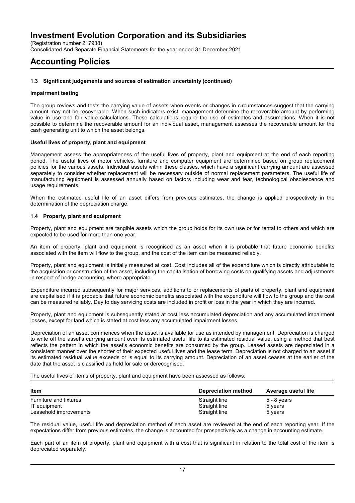(Registration number 217938)

Consolidated And Separate Financial Statements for the year ended 31 December 2021

## **Accounting Policies**

### **1.3 Significant judgements and sources of estimation uncertainty (continued)**

### **Impairment testing**

The group reviews and tests the carrying value of assets when events or changes in circumstances suggest that the carrying amount may not be recoverable. When such indicators exist, management determine the recoverable amount by performing value in use and fair value calculations. These calculations require the use of estimates and assumptions. When it is not possible to determine the recoverable amount for an individual asset, management assesses the recoverable amount for the cash generating unit to which the asset belongs.

### **Useful lives of property, plant and equipment**

Management assess the appropriateness of the useful lives of property, plant and equipment at the end of each reporting period. The useful lives of motor vehicles, furniture and computer equipment are determined based on group replacement policies for the various assets. Individual assets within these classes, which have a significant carrying amount are assessed separately to consider whether replacement will be necessary outside of normal replacement parameters. The useful life of manufacturing equipment is assessed annually based on factors including wear and tear, technological obsolescence and usage requirements.

When the estimated useful life of an asset differs from previous estimates, the change is applied prospectively in the determination of the depreciation charge.

## **1.4 Property, plant and equipment**

Property, plant and equipment are tangible assets which the group holds for its own use or for rental to others and which are expected to be used for more than one year.

An item of property, plant and equipment is recognised as an asset when it is probable that future economic benefits associated with the item will flow to the group, and the cost of the item can be measured reliably.

Property, plant and equipment is initially measured at cost. Cost includes all of the expenditure which is directly attributable to the acquisition or construction of the asset, including the capitalisation of borrowing costs on qualifying assets and adjustments in respect of hedge accounting, where appropriate.

Expenditure incurred subsequently for major services, additions to or replacements of parts of property, plant and equipment are capitalised if it is probable that future economic benefits associated with the expenditure will flow to the group and the cost can be measured reliably. Day to day servicing costs are included in profit or loss in the year in which they are incurred.

Property, plant and equipment is subsequently stated at cost less accumulated depreciation and any accumulated impairment losses, except for land which is stated at cost less any accumulated impairment losses.

Depreciation of an asset commences when the asset is available for use as intended by management. Depreciation is charged to write off the asset's carrying amount over its estimated useful life to its estimated residual value, using a method that best reflects the pattern in which the asset's economic benefits are consumed by the group. Leased assets are depreciated in a consistent manner over the shorter of their expected useful lives and the lease term. Depreciation is not charged to an asset if its estimated residual value exceeds or is equal to its carrying amount. Depreciation of an asset ceases at the earlier of the date that the asset is classified as held for sale or derecognised.

The useful lives of items of property, plant and equipment have been assessed as follows:

| <b>Item</b>            | Depreciation method | Average useful life |
|------------------------|---------------------|---------------------|
| Furniture and fixtures | Straight line       | 5 - 8 vears         |
| IT equipment           | Straight line       | 5 years             |
| Leasehold improvements | Straight line       | 5 years             |

The residual value, useful life and depreciation method of each asset are reviewed at the end of each reporting year. If the expectations differ from previous estimates, the change is accounted for prospectively as a change in accounting estimate.

Each part of an item of property, plant and equipment with a cost that is significant in relation to the total cost of the item is depreciated separately.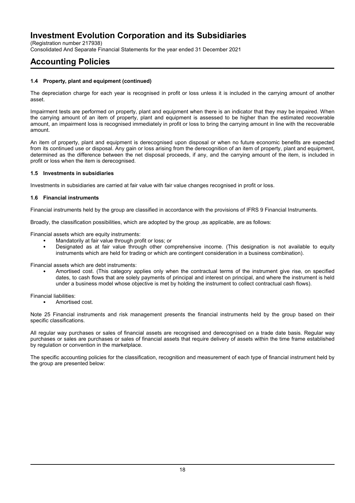(Registration number 217938) Consolidated And Separate Financial Statements for the year ended 31 December 2021

# **Accounting Policies**

## **1.4 Property, plant and equipment (continued)**

The depreciation charge for each year is recognised in profit or loss unless it is included in the carrying amount of another asset.

Impairment tests are performed on property, plant and equipment when there is an indicator that they may be impaired. When the carrying amount of an item of property, plant and equipment is assessed to be higher than the estimated recoverable amount, an impairment loss is recognised immediately in profit or loss to bring the carrying amount in line with the recoverable amount.

An item of property, plant and equipment is derecognised upon disposal or when no future economic benefits are expected from its continued use or disposal. Any gain or loss arising from the derecognition of an item of property, plant and equipment, determined as the difference between the net disposal proceeds, if any, and the carrying amount of the item, is included in profit or loss when the item is derecognised.

## **1.5 Investments in subsidiaries**

Investments in subsidiaries are carried at fair value with fair value changes recognised in profit or loss.

## **1.6 Financial instruments**

Financial instruments held by the group are classified in accordance with the provisions of IFRS 9 Financial Instruments.

Broadly, the classification possibilities, which are adopted by the group ,as applicable, are as follows:

Financial assets which are equity instruments:

- Mandatorily at fair value through profit or loss; or
- Designated as at fair value through other comprehensive income. (This designation is not available to equity instruments which are held for trading or which are contingent consideration in a business combination).

Financial assets which are debt instruments:

 Amortised cost. (This category applies only when the contractual terms of the instrument give rise, on specified dates, to cash flows that are solely payments of principal and interest on principal, and where the instrument is held under a business model whose objective is met by holding the instrument to collect contractual cash flows).

Financial liabilities:

Amortised cost.

Note 25 Financial instruments and risk management presents the financial instruments held by the group based on their specific classifications.

All regular way purchases or sales of financial assets are recognised and derecognised on a trade date basis. Regular way purchases or sales are purchases or sales of financial assets that require delivery of assets within the time frame established by regulation or convention in the marketplace.

The specific accounting policies for the classification, recognition and measurement of each type of financial instrument held by the group are presented below: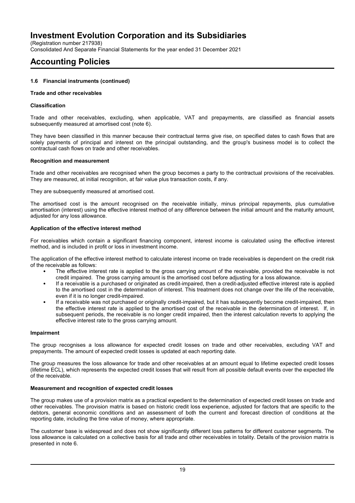(Registration number 217938)

Consolidated And Separate Financial Statements for the year ended 31 December 2021

## **Accounting Policies**

## **1.6 Financial instruments (continued)**

#### **Trade and other receivables**

### **Classification**

Trade and other receivables, excluding, when applicable, VAT and prepayments, are classified as financial assets subsequently measured at amortised cost (note 6).

They have been classified in this manner because their contractual terms give rise, on specified dates to cash flows that are solely payments of principal and interest on the principal outstanding, and the group's business model is to collect the contractual cash flows on trade and other receivables.

#### **Recognition and measurement**

Trade and other receivables are recognised when the group becomes a party to the contractual provisions of the receivables. They are measured, at initial recognition, at fair value plus transaction costs, if any.

They are subsequently measured at amortised cost.

The amortised cost is the amount recognised on the receivable initially, minus principal repayments, plus cumulative amortisation (interest) using the effective interest method of any difference between the initial amount and the maturity amount, adjusted for any loss allowance.

## **Application of the effective interest method**

For receivables which contain a significant financing component, interest income is calculated using the effective interest method, and is included in profit or loss in investment income.

The application of the effective interest method to calculate interest income on trade receivables is dependent on the credit risk of the receivable as follows:

- The effective interest rate is applied to the gross carrying amount of the receivable, provided the receivable is not credit impaired. The gross carrying amount is the amortised cost before adjusting for a loss allowance.
- If a receivable is a purchased or originated as credit-impaired, then a credit-adjusted effective interest rate is applied to the amortised cost in the determination of interest. This treatment does not change over the life of the receivable, even if it is no longer credit-impaired.
- If a receivable was not purchased or originally credit-impaired, but it has subsequently become credit-impaired, then the effective interest rate is applied to the amortised cost of the receivable in the determination of interest. If, in subsequent periods, the receivable is no longer credit impaired, then the interest calculation reverts to applying the effective interest rate to the gross carrying amount.

#### **Impairment**

The group recognises a loss allowance for expected credit losses on trade and other receivables, excluding VAT and prepayments. The amount of expected credit losses is updated at each reporting date.

The group measures the loss allowance for trade and other receivables at an amount equal to lifetime expected credit losses (lifetime ECL), which represents the expected credit losses that will result from all possible default events over the expected life of the receivable.

## **Measurement and recognition of expected credit losses**

The group makes use of a provision matrix as a practical expedient to the determination of expected credit losses on trade and other receivables. The provision matrix is based on historic credit loss experience, adjusted for factors that are specific to the debtors, general economic conditions and an assessment of both the current and forecast direction of conditions at the reporting date, including the time value of money, where appropriate.

The customer base is widespread and does not show significantly different loss patterns for different customer segments. The loss allowance is calculated on a collective basis for all trade and other receivables in totality. Details of the provision matrix is presented in note 6.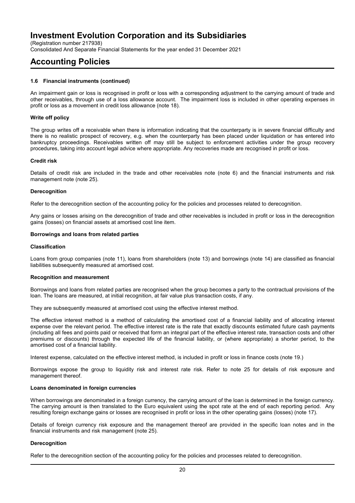(Registration number 217938)

Consolidated And Separate Financial Statements for the year ended 31 December 2021

## **Accounting Policies**

### **1.6 Financial instruments (continued)**

An impairment gain or loss is recognised in profit or loss with a corresponding adjustment to the carrying amount of trade and other receivables, through use of a loss allowance account. The impairment loss is included in other operating expenses in profit or loss as a movement in credit loss allowance (note 18).

### **Write off policy**

The group writes off a receivable when there is information indicating that the counterparty is in severe financial difficulty and there is no realistic prospect of recovery, e.g. when the counterparty has been placed under liquidation or has entered into bankruptcy proceedings. Receivables written off may still be subject to enforcement activities under the group recovery procedures, taking into account legal advice where appropriate. Any recoveries made are recognised in profit or loss.

#### **Credit risk**

Details of credit risk are included in the trade and other receivables note (note 6) and the financial instruments and risk management note (note 25).

#### **Derecognition**

Refer to the derecognition section of the accounting policy for the policies and processes related to derecognition.

Any gains or losses arising on the derecognition of trade and other receivables is included in profit or loss in the derecognition gains (losses) on financial assets at amortised cost line item.

#### **Borrowings and loans from related parties**

#### **Classification**

Loans from group companies (note 11), loans from shareholders (note 13) and borrowings (note 14) are classified as financial liabilities subsequently measured at amortised cost.

#### **Recognition and measurement**

Borrowings and loans from related parties are recognised when the group becomes a party to the contractual provisions of the loan. The loans are measured, at initial recognition, at fair value plus transaction costs, if any.

They are subsequently measured at amortised cost using the effective interest method.

The effective interest method is a method of calculating the amortised cost of a financial liability and of allocating interest expense over the relevant period. The effective interest rate is the rate that exactly discounts estimated future cash payments (including all fees and points paid or received that form an integral part of the effective interest rate, transaction costs and other premiums or discounts) through the expected life of the financial liability, or (where appropriate) a shorter period, to the amortised cost of a financial liability.

Interest expense, calculated on the effective interest method, is included in profit or loss in finance costs (note 19.)

Borrowings expose the group to liquidity risk and interest rate risk. Refer to note 25 for details of risk exposure and management thereof.

#### **Loans denominated in foreign currencies**

When borrowings are denominated in a foreign currency, the carrying amount of the loan is determined in the foreign currency. The carrying amount is then translated to the Euro equivalent using the spot rate at the end of each reporting period. Any resulting foreign exchange gains or losses are recognised in profit or loss in the other operating gains (losses) (note 17).

Details of foreign currency risk exposure and the management thereof are provided in the specific loan notes and in the financial instruments and risk management (note 25).

#### **Derecognition**

Refer to the derecognition section of the accounting policy for the policies and processes related to derecognition.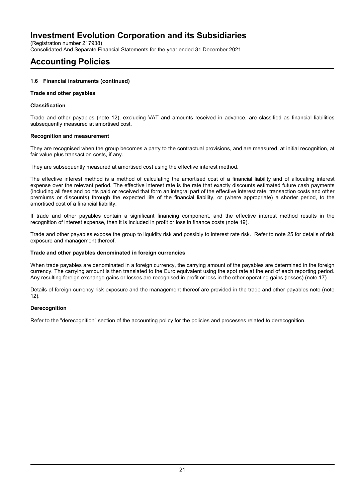(Registration number 217938)

Consolidated And Separate Financial Statements for the year ended 31 December 2021

## **Accounting Policies**

## **1.6 Financial instruments (continued)**

## **Trade and other payables**

## **Classification**

Trade and other payables (note 12), excluding VAT and amounts received in advance, are classified as financial liabilities subsequently measured at amortised cost.

## **Recognition and measurement**

They are recognised when the group becomes a party to the contractual provisions, and are measured, at initial recognition, at fair value plus transaction costs, if any.

They are subsequently measured at amortised cost using the effective interest method.

The effective interest method is a method of calculating the amortised cost of a financial liability and of allocating interest expense over the relevant period. The effective interest rate is the rate that exactly discounts estimated future cash payments (including all fees and points paid or received that form an integral part of the effective interest rate, transaction costs and other premiums or discounts) through the expected life of the financial liability, or (where appropriate) a shorter period, to the amortised cost of a financial liability.

If trade and other payables contain a significant financing component, and the effective interest method results in the recognition of interest expense, then it is included in profit or loss in finance costs (note 19).

Trade and other payables expose the group to liquidity risk and possibly to interest rate risk. Refer to note 25 for details of risk exposure and management thereof.

## **Trade and other payables denominated in foreign currencies**

When trade payables are denominated in a foreign currency, the carrying amount of the payables are determined in the foreign currency. The carrying amount is then translated to the Euro equivalent using the spot rate at the end of each reporting period. Any resulting foreign exchange gains or losses are recognised in profit or loss in the other operating gains (losses) (note 17).

Details of foreign currency risk exposure and the management thereof are provided in the trade and other payables note (note 12).

## **Derecognition**

Refer to the "derecognition" section of the accounting policy for the policies and processes related to derecognition.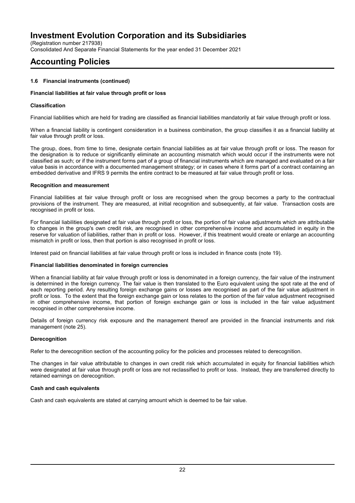(Registration number 217938) Consolidated And Separate Financial Statements for the year ended 31 December 2021

# **Accounting Policies**

## **1.6 Financial instruments (continued)**

## **Financial liabilities at fair value through profit or loss**

## **Classification**

Financial liabilities which are held for trading are classified as financial liabilities mandatorily at fair value through profit or loss.

When a financial liability is contingent consideration in a business combination, the group classifies it as a financial liability at fair value through profit or loss.

The group, does, from time to time, designate certain financial liabilities as at fair value through profit or loss. The reason for the designation is to reduce or significantly eliminate an accounting mismatch which would occur if the instruments were not classified as such; or if the instrument forms part of a group of financial instruments which are managed and evaluated on a fair value basis in accordance with a documented management strategy; or in cases where it forms part of a contract containing an embedded derivative and IFRS 9 permits the entire contract to be measured at fair value through profit or loss.

## **Recognition and measurement**

Financial liabilities at fair value through profit or loss are recognised when the group becomes a party to the contractual provisions of the instrument. They are measured, at initial recognition and subsequently, at fair value. Transaction costs are recognised in profit or loss.

For financial liabilities designated at fair value through profit or loss, the portion of fair value adjustments which are attributable to changes in the group's own credit risk, are recognised in other comprehensive income and accumulated in equity in the reserve for valuation of liabilities, rather than in profit or loss. However, if this treatment would create or enlarge an accounting mismatch in profit or loss, then that portion is also recognised in profit or loss.

Interest paid on financial liabilities at fair value through profit or loss is included in finance costs (note 19).

## **Financial liabilities denominated in foreign currencies**

When a financial liability at fair value through profit or loss is denominated in a foreign currency, the fair value of the instrument is determined in the foreign currency. The fair value is then translated to the Euro equivalent using the spot rate at the end of each reporting period. Any resulting foreign exchange gains or losses are recognised as part of the fair value adjustment in profit or loss. To the extent that the foreign exchange gain or loss relates to the portion of the fair value adjustment recognised in other comprehensive income, that portion of foreign exchange gain or loss is included in the fair value adjustment recognised in other comprehensive income.

Details of foreign currency risk exposure and the management thereof are provided in the financial instruments and risk management (note 25).

## **Derecognition**

Refer to the derecognition section of the accounting policy for the policies and processes related to derecognition.

The changes in fair value attributable to changes in own credit risk which accumulated in equity for financial liabilities which were designated at fair value through profit or loss are not reclassified to profit or loss. Instead, they are transferred directly to retained earnings on derecognition.

## **Cash and cash equivalents**

Cash and cash equivalents are stated at carrying amount which is deemed to be fair value.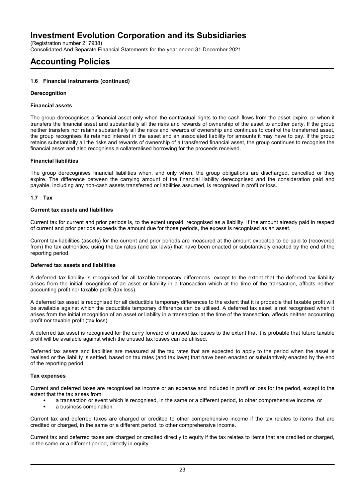(Registration number 217938) Consolidated And Separate Financial Statements for the year ended 31 December 2021

# **Accounting Policies**

## **1.6 Financial instruments (continued)**

## **Derecognition**

## **Financial assets**

The group derecognises a financial asset only when the contractual rights to the cash flows from the asset expire, or when it transfers the financial asset and substantially all the risks and rewards of ownership of the asset to another party. If the group neither transfers nor retains substantially all the risks and rewards of ownership and continues to control the transferred asset, the group recognises its retained interest in the asset and an associated liability for amounts it may have to pay. If the group retains substantially all the risks and rewards of ownership of a transferred financial asset, the group continues to recognise the financial asset and also recognises a collateralised borrowing for the proceeds received.

## **Financial liabilities**

The group derecognises financial liabilities when, and only when, the group obligations are discharged, cancelled or they expire. The difference between the carrying amount of the financial liability derecognised and the consideration paid and payable, including any non-cash assets transferred or liabilities assumed, is recognised in profit or loss.

## **1.7 Tax**

## **Current tax assets and liabilities**

Current tax for current and prior periods is, to the extent unpaid, recognised as a liability. If the amount already paid in respect of current and prior periods exceeds the amount due for those periods, the excess is recognised as an asset.

Current tax liabilities (assets) for the current and prior periods are measured at the amount expected to be paid to (recovered from) the tax authorities, using the tax rates (and tax laws) that have been enacted or substantively enacted by the end of the reporting period.

## **Deferred tax assets and liabilities**

A deferred tax liability is recognised for all taxable temporary differences, except to the extent that the deferred tax liability arises from the initial recognition of an asset or liability in a transaction which at the time of the transaction, affects neither accounting profit nor taxable profit (tax loss).

A deferred tax asset is recognised for all deductible temporary differences to the extent that it is probable that taxable profit will be available against which the deductible temporary difference can be utilised. A deferred tax asset is not recognised when it arises from the initial recognition of an asset or liability in a transaction at the time of the transaction, affects neither accounting profit nor taxable profit (tax loss).

A deferred tax asset is recognised for the carry forward of unused tax losses to the extent that it is probable that future taxable profit will be available against which the unused tax losses can be utilised.

Deferred tax assets and liabilities are measured at the tax rates that are expected to apply to the period when the asset is realised or the liability is settled, based on tax rates (and tax laws) that have been enacted or substantively enacted by the end of the reporting period.

## **Tax expenses**

Current and deferred taxes are recognised as income or an expense and included in profit or loss for the period, except to the extent that the tax arises from:

- a transaction or event which is recognised, in the same or a different period, to other comprehensive income, or
- a business combination.

Current tax and deferred taxes are charged or credited to other comprehensive income if the tax relates to items that are credited or charged, in the same or a different period, to other comprehensive income.

Current tax and deferred taxes are charged or credited directly to equity if the tax relates to items that are credited or charged, in the same or a different period, directly in equity.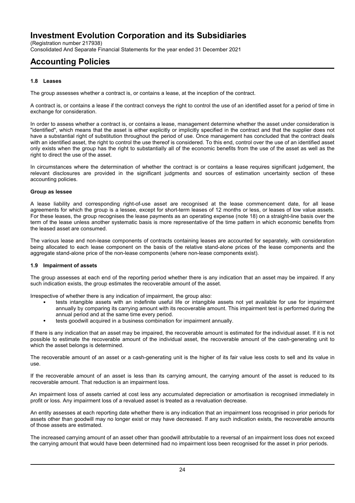(Registration number 217938) Consolidated And Separate Financial Statements for the year ended 31 December 2021

# **Accounting Policies**

## **1.8 Leases**

The group assesses whether a contract is, or contains a lease, at the inception of the contract.

A contract is, or contains a lease if the contract conveys the right to control the use of an identified asset for a period of time in exchange for consideration.

In order to assess whether a contract is, or contains a lease, management determine whether the asset under consideration is "identified", which means that the asset is either explicitly or implicitly specified in the contract and that the supplier does not have a substantial right of substitution throughout the period of use. Once management has concluded that the contract deals with an identified asset, the right to control the use thereof is considered. To this end, control over the use of an identified asset only exists when the group has the right to substantially all of the economic benefits from the use of the asset as well as the right to direct the use of the asset.

In circumstances where the determination of whether the contract is or contains a lease requires significant judgement, the relevant disclosures are provided in the significant judgments and sources of estimation uncertainty section of these accounting policies.

## **Group as lessee**

A lease liability and corresponding right-of-use asset are recognised at the lease commencement date, for all lease agreements for which the group is a lessee, except for short-term leases of 12 months or less, or leases of low value assets. For these leases, the group recognises the lease payments as an operating expense (note 18) on a straight-line basis over the term of the lease unless another systematic basis is more representative of the time pattern in which economic benefits from the leased asset are consumed.

The various lease and non-lease components of contracts containing leases are accounted for separately, with consideration being allocated to each lease component on the basis of the relative stand-alone prices of the lease components and the aggregate stand-alone price of the non-lease components (where non-lease components exist).

## **1.9 Impairment of assets**

The group assesses at each end of the reporting period whether there is any indication that an asset may be impaired. If any such indication exists, the group estimates the recoverable amount of the asset.

Irrespective of whether there is any indication of impairment, the group also:

- tests intangible assets with an indefinite useful life or intangible assets not yet available for use for impairment annually by comparing its carrying amount with its recoverable amount. This impairment test is performed during the annual period and at the same time every period.
- tests goodwill acquired in a business combination for impairment annually.

If there is any indication that an asset may be impaired, the recoverable amount is estimated for the individual asset. If it is not possible to estimate the recoverable amount of the individual asset, the recoverable amount of the cash-generating unit to which the asset belongs is determined.

The recoverable amount of an asset or a cash-generating unit is the higher of its fair value less costs to sell and its value in use.

If the recoverable amount of an asset is less than its carrying amount, the carrying amount of the asset is reduced to its recoverable amount. That reduction is an impairment loss.

An impairment loss of assets carried at cost less any accumulated depreciation or amortisation is recognised immediately in profit or loss. Any impairment loss of a revalued asset is treated as a revaluation decrease.

An entity assesses at each reporting date whether there is any indication that an impairment loss recognised in prior periods for assets other than goodwill may no longer exist or may have decreased. If any such indication exists, the recoverable amounts of those assets are estimated.

The increased carrying amount of an asset other than goodwill attributable to a reversal of an impairment loss does not exceed the carrying amount that would have been determined had no impairment loss been recognised for the asset in prior periods.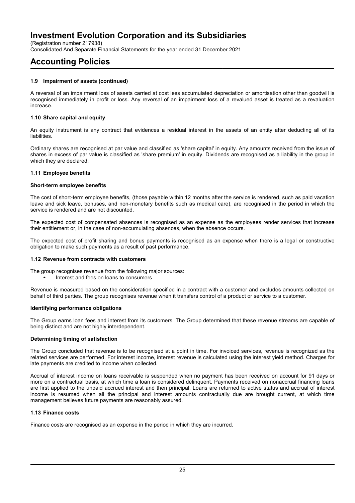(Registration number 217938)

Consolidated And Separate Financial Statements for the year ended 31 December 2021

## **Accounting Policies**

## **1.9 Impairment of assets (continued)**

A reversal of an impairment loss of assets carried at cost less accumulated depreciation or amortisation other than goodwill is recognised immediately in profit or loss. Any reversal of an impairment loss of a revalued asset is treated as a revaluation increase.

## **1.10 Share capital and equity**

An equity instrument is any contract that evidences a residual interest in the assets of an entity after deducting all of its liabilities.

Ordinary shares are recognised at par value and classified as 'share capital' in equity. Any amounts received from the issue of shares in excess of par value is classified as 'share premium' in equity. Dividends are recognised as a liability in the group in which they are declared.

## **1.11 Employee benefits**

## **Short-term employee benefits**

The cost of short-term employee benefits, (those payable within 12 months after the service is rendered, such as paid vacation leave and sick leave, bonuses, and non-monetary benefits such as medical care), are recognised in the period in which the service is rendered and are not discounted.

The expected cost of compensated absences is recognised as an expense as the employees render services that increase their entitlement or, in the case of non-accumulating absences, when the absence occurs.

The expected cost of profit sharing and bonus payments is recognised as an expense when there is a legal or constructive obligation to make such payments as a result of past performance.

## **1.12 Revenue from contracts with customers**

The group recognises revenue from the following major sources:

Interest and fees on loans to consumers

Revenue is measured based on the consideration specified in a contract with a customer and excludes amounts collected on behalf of third parties. The group recognises revenue when it transfers control of a product or service to a customer.

## **Identifying performance obligations**

The Group earns loan fees and interest from its customers. The Group determined that these revenue streams are capable of being distinct and are not highly interdependent.

## **Determining timing of satisfaction**

The Group concluded that revenue is to be recognised at a point in time. For invoiced services, revenue is recognized as the related services are performed. For interest income, interest revenue is calculated using the interest yield method. Charges for late payments are credited to income when collected.

Accrual of interest income on loans receivable is suspended when no payment has been received on account for 91 days or more on a contractual basis, at which time a loan is considered delinquent. Payments received on nonaccrual financing loans are first applied to the unpaid accrued interest and then principal. Loans are returned to active status and accrual of interest income is resumed when all the principal and interest amounts contractually due are brought current, at which time management believes future payments are reasonably assured.

## **1.13 Finance costs**

Finance costs are recognised as an expense in the period in which they are incurred.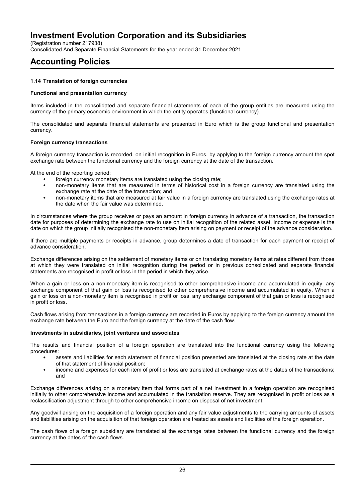(Registration number 217938)

Consolidated And Separate Financial Statements for the year ended 31 December 2021

## **Accounting Policies**

## **1.14 Translation of foreign currencies**

## **Functional and presentation currency**

Items included in the consolidated and separate financial statements of each of the group entities are measured using the currency of the primary economic environment in which the entity operates (functional currency).

The consolidated and separate financial statements are presented in Euro which is the group functional and presentation currency.

## **Foreign currency transactions**

A foreign currency transaction is recorded, on initial recognition in Euros, by applying to the foreign currency amount the spot exchange rate between the functional currency and the foreign currency at the date of the transaction.

At the end of the reporting period:

- foreign currency monetary items are translated using the closing rate;
- non-monetary items that are measured in terms of historical cost in a foreign currency are translated using the exchange rate at the date of the transaction; and
- non-monetary items that are measured at fair value in a foreign currency are translated using the exchange rates at the date when the fair value was determined.

In circumstances where the group receives or pays an amount in foreign currency in advance of a transaction, the transaction date for purposes of determining the exchange rate to use on initial recognition of the related asset, income or expense is the date on which the group initially recognised the non-monetary item arising on payment or receipt of the advance consideration.

If there are multiple payments or receipts in advance, group determines a date of transaction for each payment or receipt of advance consideration.

Exchange differences arising on the settlement of monetary items or on translating monetary items at rates different from those at which they were translated on initial recognition during the period or in previous consolidated and separate financial statements are recognised in profit or loss in the period in which they arise.

When a gain or loss on a non-monetary item is recognised to other comprehensive income and accumulated in equity, any exchange component of that gain or loss is recognised to other comprehensive income and accumulated in equity. When a gain or loss on a non-monetary item is recognised in profit or loss, any exchange component of that gain or loss is recognised in profit or loss.

Cash flows arising from transactions in a foreign currency are recorded in Euros by applying to the foreign currency amount the exchange rate between the Euro and the foreign currency at the date of the cash flow.

## **Investments in subsidiaries, joint ventures and associates**

The results and financial position of a foreign operation are translated into the functional currency using the following procedures:

- assets and liabilities for each statement of financial position presented are translated at the closing rate at the date of that statement of financial position;
- income and expenses for each item of profit or loss are translated at exchange rates at the dates of the transactions; and

Exchange differences arising on a monetary item that forms part of a net investment in a foreign operation are recognised initially to other comprehensive income and accumulated in the translation reserve. They are recognised in profit or loss as a reclassification adjustment through to other comprehensive income on disposal of net investment.

Any goodwill arising on the acquisition of a foreign operation and any fair value adjustments to the carrying amounts of assets and liabilities arising on the acquisition of that foreign operation are treated as assets and liabilities of the foreign operation.

The cash flows of a foreign subsidiary are translated at the exchange rates between the functional currency and the foreign currency at the dates of the cash flows.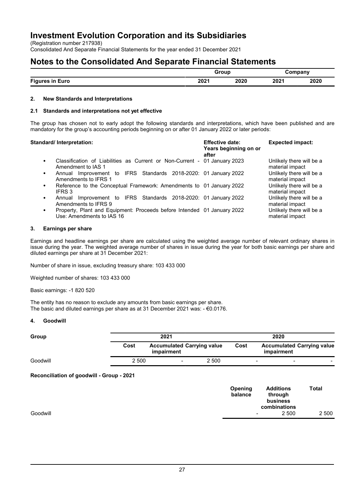(Registration number 217938)

Consolidated And Separate Financial Statements for the year ended 31 December 2021

## **Notes to the Consolidated And Separate Financial Statements**

|            | Group |      | omnanv |      |
|------------|-------|------|--------|------|
| Figures in | 2021  | 2020 | 2021   | 2020 |
| Euro       |       |      |        |      |

### **2. New Standards and Interpretations**

#### **2.1 Standards and interpretations not yet effective**

The group has chosen not to early adopt the following standards and interpretations, which have been published and are mandatory for the group's accounting periods beginning on or after 01 January 2022 or later periods:

| Standard/ Interpretation:                                                                                         | <b>Effective date:</b><br>Years beginning on or<br>after | <b>Expected impact:</b>                     |
|-------------------------------------------------------------------------------------------------------------------|----------------------------------------------------------|---------------------------------------------|
| Classification of Liabilities as Current or Non-Current - 01 January 2023<br>$\bullet$<br>Amendment to IAS 1      |                                                          | Unlikely there will be a<br>material impact |
| Annual Improvement to IFRS Standards 2018-2020: 01 January 2022<br>$\bullet$<br>Amendments to IFRS 1              |                                                          | Unlikely there will be a<br>material impact |
| Reference to the Conceptual Framework: Amendments to 01 January 2022<br>$\bullet$<br><b>IFRS 3</b>                |                                                          | Unlikely there will be a<br>material impact |
| Improvement to IFRS Standards 2018-2020: 01 January 2022<br>Annual<br>$\bullet$<br>Amendments to IFRS 9           |                                                          | Unlikely there will be a<br>material impact |
| Property, Plant and Equipment: Proceeds before Intended 01 January 2022<br>$\bullet$<br>Use: Amendments to IAS 16 |                                                          | Unlikely there will be a<br>material impact |

#### **3. Earnings per share**

Earnings and headline earnings per share are calculated using the weighted average number of relevant ordinary shares in issue during the year. The weighted average number of shares in issue during the year for both basic earnings per share and diluted earnings per share at 31 December 2021:

Number of share in issue, excluding treasury share: 103 433 000

Weighted number of shares: 103 433 000

Basic earnings: -1 820 520

The entity has no reason to exclude any amounts from basic earnings per share. The basic and diluted earnings per share as at 31 December 2021 was: - €0.0176.

#### **4. Goodwill**

| Group    |       | 2021                                            |       | 2020 |                                             |                                   |
|----------|-------|-------------------------------------------------|-------|------|---------------------------------------------|-----------------------------------|
|          | Cost  | <b>Accumulated Carrying value</b><br>impairment |       | Cost | impairment                                  | <b>Accumulated Carrying value</b> |
| Goodwill | 2 500 | $\blacksquare$                                  | 2 500 |      | $\overline{\phantom{a}}$<br>$\qquad \qquad$ |                                   |

## **Reconciliation of goodwill - Group - 2021**

|          | Opening<br>balance | <b>Additions</b><br>through<br>business<br>combinations | <b>Total</b> |
|----------|--------------------|---------------------------------------------------------|--------------|
| Goodwill |                    | 2 500<br>$\,$                                           | 2 500        |
|          |                    |                                                         |              |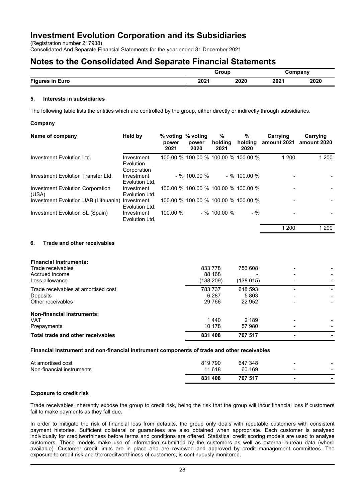(Registration number 217938)

Consolidated And Separate Financial Statements for the year ended 31 December 2021

## **Notes to the Consolidated And Separate Financial Statements**

|                        |      | Group |      | ompanv |  |
|------------------------|------|-------|------|--------|--|
| <b>Figures in Euro</b> | 2021 | 2020  | 2021 | 2020   |  |

## **5. Interests in subsidiaries**

The following table lists the entities which are controlled by the group, either directly or indirectly through subsidiaries.

## **Company**

| Name of company                                    | Held by                                | % voting % voting<br>power<br>2021 | power<br>2020                       | %<br>holding<br>2021 | %<br>holding<br>2020 | Carrying<br>amount 2021 | Carrying<br>amount 2020 |
|----------------------------------------------------|----------------------------------------|------------------------------------|-------------------------------------|----------------------|----------------------|-------------------------|-------------------------|
| Investment Evolution Ltd.                          | Investment<br>Evolution<br>Corporation |                                    | 100.00 % 100.00 % 100.00 % 100.00 % |                      |                      | 1 200                   | 1 200                   |
| Investment Evolution Transfer I td.                | Investment<br>Evolution Ltd.           |                                    | $-$ % 100.00 %                      |                      | $-$ % 100.00 %       |                         |                         |
| <b>Investment Evolution Corporation</b><br>(USA)   | Investment<br>Evolution Ltd.           |                                    | 100.00 % 100.00 % 100.00 % 100.00 % |                      |                      |                         |                         |
| Investment Evolution UAB (Lithuania) Investment    | Evolution Ltd.                         |                                    | 100.00 % 100.00 % 100.00 % 100.00 % |                      |                      |                         |                         |
| Investment Evolution SL (Spain)                    | Investment<br>Evolution Ltd.           | 100.00 %                           |                                     | $-$ % 100.00 %       | $-$ %                |                         |                         |
|                                                    |                                        |                                    |                                     |                      |                      | 1 200                   | 1 200                   |
| 6.<br>Trade and other receivables                  |                                        |                                    |                                     |                      |                      |                         |                         |
| <b>Financial instruments:</b><br>Trade receivables |                                        |                                    |                                     | 833 778              |                      |                         |                         |
| Accrued income<br>Loss allowance                   |                                        |                                    |                                     | 88 168<br>(138 209)  | 756 608<br>(138015)  |                         |                         |
| Trade receivables at amortised cost<br>Deposits    |                                        |                                    |                                     | 783737<br>6 2 8 7    | 618 593<br>5803      |                         |                         |
| Other receivables                                  |                                        |                                    |                                     | 29 7 66              | 22 952               |                         |                         |

## **Non-financial instruments:** VAT 1 440 2 189 - -

| Prepayments                       | 10 178  | 57 980  |  |
|-----------------------------------|---------|---------|--|
| Total trade and other receivables | 831 408 | 707 517 |  |

## **Financial instrument and non-financial instrument components of trade and other receivables**

|                           | 831 408 | 707 517 | $\overline{\phantom{0}}$ |                          |
|---------------------------|---------|---------|--------------------------|--------------------------|
| Non-financial instruments | 11 618  | 60 169  | $\overline{\phantom{a}}$ | $\overline{\phantom{0}}$ |
| At amortised cost         | 819790  | 647 348 | $\overline{\phantom{a}}$ | $\overline{\phantom{a}}$ |

## **Exposure to credit risk**

Trade receivables inherently expose the group to credit risk, being the risk that the group will incur financial loss if customers fail to make payments as they fall due.

In order to mitigate the risk of financial loss from defaults, the group only deals with reputable customers with consistent payment histories. Sufficient collateral or guarantees are also obtained when appropriate. Each customer is analysed individually for creditworthiness before terms and conditions are offered. Statistical credit scoring models are used to analyse customers. These models make use of information submitted by the customers as well as external bureau data (where available). Customer credit limits are in place and are reviewed and approved by credit management committees. The exposure to credit risk and the creditworthiness of customers, is continuously monitored.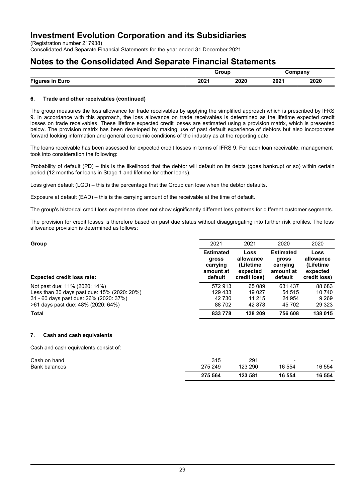(Registration number 217938)

Consolidated And Separate Financial Statements for the year ended 31 December 2021

## **Notes to the Consolidated And Separate Financial Statements**

|                        |      | Group |      | ompanv |  |
|------------------------|------|-------|------|--------|--|
| <b>Figures in Euro</b> | 2021 | 2020  | 2021 | 2020   |  |

## **6. Trade and other receivables (continued)**

The group measures the loss allowance for trade receivables by applying the simplified approach which is prescribed by IFRS 9. In accordance with this approach, the loss allowance on trade receivables is determined as the lifetime expected credit losses on trade receivables. These lifetime expected credit losses are estimated using a provision matrix, which is presented below. The provision matrix has been developed by making use of past default experience of debtors but also incorporates forward looking information and general economic conditions of the industry as at the reporting date.

The loans receivable has been assessed for expected credit losses in terms of IFRS 9. For each loan receivable, management took into consideration the following:

Probability of default (PD) – this is the likelihood that the debtor will default on its debts (goes bankrupt or so) within certain period (12 months for loans in Stage 1 and lifetime for other loans).

Loss given default (LGD) – this is the percentage that the Group can lose when the debtor defaults.

Exposure at default (EAD) – this is the carrying amount of the receivable at the time of default.

The group's historical credit loss experience does not show significantly different loss patterns for different customer segments.

The provision for credit losses is therefore based on past due status without disaggregating into further risk profiles. The loss allowance provision is determined as follows:

| Group                                       | 2021                                                          | 2021                                                        | 2020                                                          | 2020                                                       |
|---------------------------------------------|---------------------------------------------------------------|-------------------------------------------------------------|---------------------------------------------------------------|------------------------------------------------------------|
| <b>Expected credit loss rate:</b>           | <b>Estimated</b><br>gross<br>carrying<br>amount at<br>default | Loss<br>allowance<br>(Lifetime)<br>expected<br>credit loss) | <b>Estimated</b><br>gross<br>carrying<br>amount at<br>default | Loss<br>allowance<br>(Lifetime<br>expected<br>credit loss) |
| Not past due: 11% (2020: 14%)               | 572913                                                        | 65 089                                                      | 631 437                                                       | 88 683                                                     |
| Less than 30 days past due: 15% (2020: 20%) | 129 433                                                       | 19 0 27                                                     | 54 515                                                        | 10 740                                                     |
| 31 - 60 days past due: 26% (2020: 37%)      | 42 730                                                        | 11 215                                                      | 24 954                                                        | 9 2 6 9                                                    |
| >61 days past due: 48% (2020: 64%)          | 88702                                                         | 42 878                                                      | 45 702                                                        | 29 3 23                                                    |
| <b>Total</b>                                | 833 778                                                       | 138 209                                                     | 756 608                                                       | 138 015                                                    |

## **7. Cash and cash equivalents**

Cash and cash equivalents consist of:

|               | 275 564 | 123 581 | 16 554 | 16 554                   |
|---------------|---------|---------|--------|--------------------------|
| Bank balances | 275 249 | 123 290 | 16 554 | 16 554                   |
| Cash on hand  | 315     | 29٬     | $\,$   | $\overline{\phantom{a}}$ |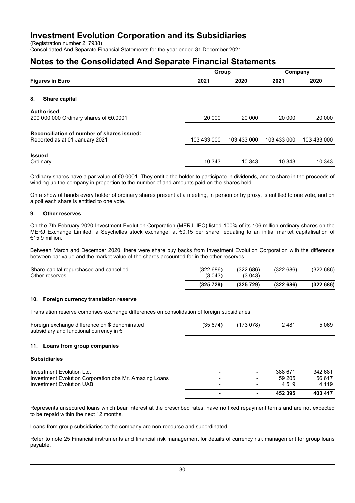(Registration number 217938)

Consolidated And Separate Financial Statements for the year ended 31 December 2021

## **Notes to the Consolidated And Separate Financial Statements**

|                                                                              | Group       |             | Company     |             |
|------------------------------------------------------------------------------|-------------|-------------|-------------|-------------|
| <b>Figures in Euro</b>                                                       | 2021        | 2020        | 2021        | 2020        |
| 8.<br>Share capital                                                          |             |             |             |             |
| <b>Authorised</b><br>200 000 000 Ordinary shares of €0.0001                  | 20 000      | 20 000      | 20 000      | 20 000      |
| Reconciliation of number of shares issued:<br>Reported as at 01 January 2021 | 103 433 000 | 103 433 000 | 103 433 000 | 103 433 000 |
| <b>Issued</b><br>Ordinary                                                    | 10 343      | 10 343      | 10 343      | 10 343      |

Ordinary shares have a par value of €0.0001. They entitle the holder to participate in dividends, and to share in the proceeds of winding up the company in proportion to the number of and amounts paid on the shares held.

On a show of hands every holder of ordinary shares present at a meeting, in person or by proxy, is entitled to one vote, and on a poll each share is entitled to one vote.

## **9. Other reserves**

On the 7th February 2020 Investment Evolution Corporation (MERJ: IEC) listed 100% of its 106 million ordinary shares on the MERJ Exchange Limited, a Seychelles stock exchange, at €0.15 per share, equating to an initial market capitalisation of €15.9 million.

Between March and December 2020, there were share buy backs from Investment Evolution Corporation with the difference between par value and the market value of the shares accounted for in the other reserves.

|                                         | (325 729) | (325 729) | (32268)  | (322686) |
|-----------------------------------------|-----------|-----------|----------|----------|
| Other reserves                          | (3.043)   | (3.043)   | -        |          |
| Share capital repurchased and cancelled | (322 686) | (322686)  | (322686) | (322686) |

## **10. Foreign currency translation reserve**

Translation reserve comprises exchange differences on consolidation of foreign subsidiaries.

| Foreign exchange difference on \$ denominated<br>subsidiary and functional currency in $\epsilon$ | (35674)                  | (173 078)                | 2481    | 5 0 6 9 |
|---------------------------------------------------------------------------------------------------|--------------------------|--------------------------|---------|---------|
| 11.<br>Loans from group companies                                                                 |                          |                          |         |         |
| <b>Subsidiaries</b>                                                                               |                          |                          |         |         |
| Investment Evolution Ltd.                                                                         |                          | $\overline{\phantom{0}}$ | 388 671 | 342 681 |
| Investment Evolution Corporation dba Mr. Amazing Loans                                            | $\overline{\phantom{a}}$ | -                        | 59 205  | 56 617  |
| Investment Evolution UAB                                                                          | $\overline{\phantom{a}}$ | -                        | 4 5 1 9 | 4 1 1 9 |
|                                                                                                   |                          |                          | 452 395 | 403 417 |

Represents unsecured loans which bear interest at the prescribed rates, have no fixed repayment terms and are not expected to be repaid within the next 12 months.

Loans from group subsidiaries to the company are non-recourse and subordinated.

Refer to note 25 Financial instruments and financial risk management for details of currency risk management for group loans payable.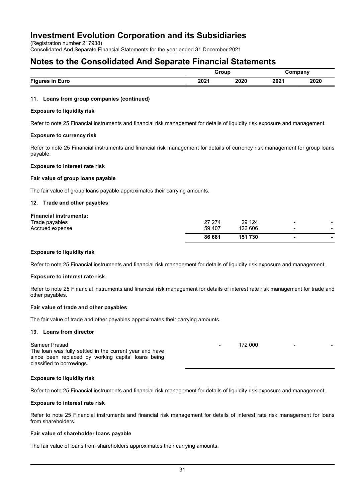(Registration number 217938)

Consolidated And Separate Financial Statements for the year ended 31 December 2021

## **Notes to the Consolidated And Separate Financial Statements**

|                        |      | Group |      | ompany |  |
|------------------------|------|-------|------|--------|--|
| <b>Figures in Euro</b> | 2021 | 2020  | 2021 | 2020   |  |

### **11. Loans from group companies (continued)**

#### **Exposure to liquidity risk**

Refer to note 25 Financial instruments and financial risk management for details of liquidity risk exposure and management.

### **Exposure to currency risk**

Refer to note 25 Financial instruments and financial risk management for details of currency risk management for group loans payable.

## **Exposure to interest rate risk**

## **Fair value of group loans payable**

The fair value of group loans payable approximates their carrying amounts.

## **12. Trade and other payables**

| <b>Financial instruments:</b> |        |         |                          |        |
|-------------------------------|--------|---------|--------------------------|--------|
| Trade payables                | 27 274 | 29 1 24 | $\,$                     | -      |
| Accrued expense               | 59 407 | 122 606 | $\overline{\phantom{a}}$ | $\sim$ |
|                               | 86 681 | 151 730 |                          |        |

#### **Exposure to liquidity risk**

Refer to note 25 Financial instruments and financial risk management for details of liquidity risk exposure and management.

#### **Exposure to interest rate risk**

Refer to note 25 Financial instruments and financial risk management for details of interest rate risk management for trade and other payables.

#### **Fair value of trade and other payables**

The fair value of trade and other payables approximates their carrying amounts.

#### **13. Loans from director**

| Sameer Prasad                                                                                                 | <b>Contract Contract</b> | 172 000 | $\overline{\phantom{0}}$ |  |
|---------------------------------------------------------------------------------------------------------------|--------------------------|---------|--------------------------|--|
| The loan was fully settled in the current year and have<br>since been replaced by working capital loans being |                          |         |                          |  |
| classified to borrowings.                                                                                     |                          |         |                          |  |

#### **Exposure to liquidity risk**

Refer to note 25 Financial instruments and financial risk management for details of liquidity risk exposure and management.

### **Exposure to interest rate risk**

Refer to note 25 Financial instruments and financial risk management for details of interest rate risk management for loans from shareholders.

#### **Fair value of shareholder loans payable**

The fair value of loans from shareholders approximates their carrying amounts.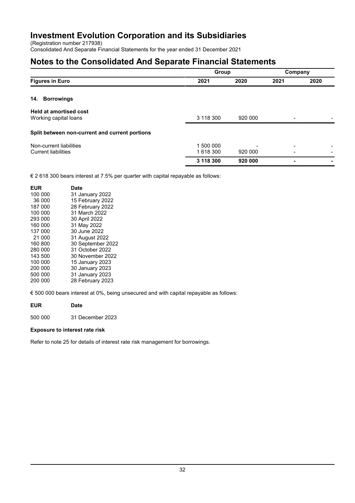(Registration number 217938)

Consolidated And Separate Financial Statements for the year ended 31 December 2021

## **Notes to the Consolidated And Separate Financial Statements**

|                                                        | Group                |         | Company                  |      |
|--------------------------------------------------------|----------------------|---------|--------------------------|------|
| <b>Figures in Euro</b>                                 | 2021                 | 2020    | 2021                     | 2020 |
| <b>Borrowings</b><br>14.                               |                      |         |                          |      |
| <b>Held at amortised cost</b><br>Working capital loans | 3 118 300            | 920 000 |                          |      |
| Split between non-current and current portions         |                      |         |                          |      |
| Non-current liabilities<br><b>Current liabilities</b>  | 1 500 000<br>1618300 | 920 000 | $\overline{\phantom{0}}$ |      |
|                                                        | 3 118 300            | 920 000 |                          |      |

€ 2 618 300 bears interest at 7.5% per quarter with capital repayable as follows:

| <b>EUR</b> | Date              |
|------------|-------------------|
| 100 000    | 31 January 2022   |
| 36 000     | 15 February 2022  |
| 187 000    | 28 February 2022  |
| 100 000    | 31 March 2022     |
| 293 000    | 30 April 2022     |
| 160 000    | 31 May 2022       |
| 137 000    | 30 June 2022      |
| 21 000     | 31 August 2022    |
| 160 800    | 30 September 2022 |
| 280 000    | 31 October 2022   |
| 143 500    | 30 November 2022  |
| 100 000    | 15 January 2023   |
| 200 000    | 30 January 2023   |
| 500 000    | 31 January 2023   |
| 200 000    | 28 February 2023  |
|            |                   |

€ 500 000 bears interest at 0%, being unsecured and with capital repayable as follows:

## **EUR Date**

500 000 31 December 2023

## **Exposure to interest rate risk**

Refer to note 25 for details of interest rate risk management for borrowings.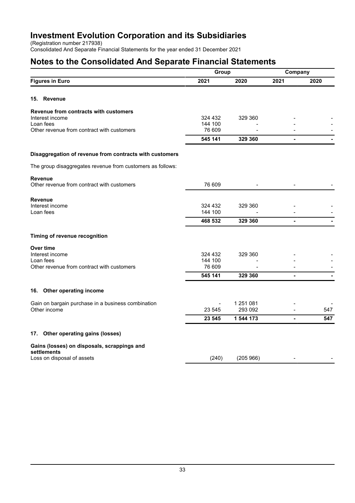(Registration number 217938)

Consolidated And Separate Financial Statements for the year ended 31 December 2021

|                                                                    | Group              |                      | Company |      |
|--------------------------------------------------------------------|--------------------|----------------------|---------|------|
| <b>Figures in Euro</b>                                             | 2021               | 2020                 | 2021    | 2020 |
| 15. Revenue                                                        |                    |                      |         |      |
| Revenue from contracts with customers                              |                    |                      |         |      |
| Interest income                                                    | 324 432            | 329 360              |         |      |
| Loan fees<br>Other revenue from contract with customers            | 144 100<br>76 609  |                      |         |      |
|                                                                    | 545 141            | 329 360              |         |      |
|                                                                    |                    |                      |         |      |
| Disaggregation of revenue from contracts with customers            |                    |                      |         |      |
| The group disaggregates revenue from customers as follows:         |                    |                      |         |      |
| <b>Revenue</b><br>Other revenue from contract with customers       | 76 609             |                      |         |      |
|                                                                    |                    |                      |         |      |
| <b>Revenue</b>                                                     |                    |                      |         |      |
| Interest income<br>Loan fees                                       | 324 432<br>144 100 | 329 360              |         |      |
|                                                                    | 468 532            | 329 360              | L.      |      |
|                                                                    |                    |                      |         |      |
| Timing of revenue recognition                                      |                    |                      |         |      |
| Over time                                                          |                    |                      |         |      |
| Interest income<br>Loan fees                                       | 324 432<br>144 100 | 329 360              |         |      |
| Other revenue from contract with customers                         | 76 609             |                      |         |      |
|                                                                    | 545 141            | 329 360              | ٠       |      |
| 16. Other operating income                                         |                    |                      |         |      |
|                                                                    |                    |                      |         |      |
| Gain on bargain purchase in a business combination<br>Other income | 23 545             | 1 251 081<br>293 092 |         | 547  |
|                                                                    | 23 545             | 1 544 173            |         | 547  |
|                                                                    |                    |                      |         |      |
| Other operating gains (losses)<br>17.                              |                    |                      |         |      |
| Gains (losses) on disposals, scrappings and<br>settlements         |                    |                      |         |      |
| Loss on disposal of assets                                         | (240)              | (205966)             |         |      |
|                                                                    |                    |                      |         |      |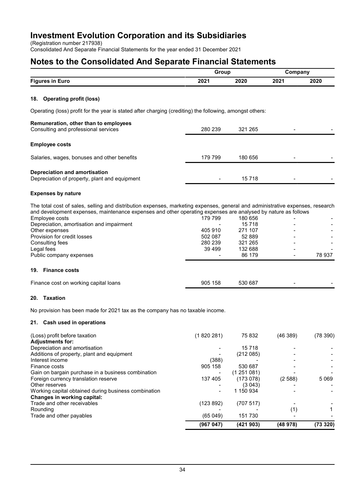(Registration number 217938)

Consolidated And Separate Financial Statements for the year ended 31 December 2021

|                                                                                                                                                                                                                                                                  | Group              |                   | Company |         |
|------------------------------------------------------------------------------------------------------------------------------------------------------------------------------------------------------------------------------------------------------------------|--------------------|-------------------|---------|---------|
| <b>Figures in Euro</b>                                                                                                                                                                                                                                           | 2021               | 2020              | 2021    | 2020    |
| <b>Operating profit (loss)</b><br>18.                                                                                                                                                                                                                            |                    |                   |         |         |
| Operating (loss) profit for the year is stated after charging (crediting) the following, amongst others:                                                                                                                                                         |                    |                   |         |         |
| Remuneration, other than to employees                                                                                                                                                                                                                            |                    |                   |         |         |
| Consulting and professional services                                                                                                                                                                                                                             | 280 239            | 321 265           |         |         |
| <b>Employee costs</b>                                                                                                                                                                                                                                            |                    |                   |         |         |
| Salaries, wages, bonuses and other benefits                                                                                                                                                                                                                      | 179 799            | 180 656           |         |         |
| <b>Depreciation and amortisation</b><br>Depreciation of property, plant and equipment                                                                                                                                                                            |                    | 15718             |         |         |
| <b>Expenses by nature</b>                                                                                                                                                                                                                                        |                    |                   |         |         |
| The total cost of sales, selling and distribution expenses, marketing expenses, general and administrative expenses, research<br>and development expenses, maintenance expenses and other operating expenses are analysed by nature as follows<br>Employee costs | 179 799            | 180 656           |         |         |
| Depreciation, amortisation and impairment                                                                                                                                                                                                                        |                    | 15 718            |         |         |
| Other expenses<br>Provision for credit losses                                                                                                                                                                                                                    | 405 910<br>502 087 | 271 107<br>52 889 |         |         |
| Consulting fees                                                                                                                                                                                                                                                  | 280 239            | 321 265           |         |         |
| Legal fees                                                                                                                                                                                                                                                       | 39 4 99            | 132 688           |         |         |
| Public company expenses                                                                                                                                                                                                                                          |                    | 86 179            |         | 78 937  |
| <b>Finance costs</b><br>19.                                                                                                                                                                                                                                      |                    |                   |         |         |
| Finance cost on working capital loans                                                                                                                                                                                                                            | 905 158            | 530 687           |         |         |
| 20. Taxation                                                                                                                                                                                                                                                     |                    |                   |         |         |
| No provision has been made for 2021 tax as the company has no taxable income.                                                                                                                                                                                    |                    |                   |         |         |
| 21. Cash used in operations                                                                                                                                                                                                                                      |                    |                   |         |         |
| (Loss) profit before taxation<br><b>Adjustments for:</b>                                                                                                                                                                                                         | (1820281)          | 75 832            | (46389) | (78390) |
| Depreciation and amortisation                                                                                                                                                                                                                                    |                    | 15718             |         |         |
| Additions of property, plant and equipment                                                                                                                                                                                                                       |                    | (212085)          |         |         |
| Interest income                                                                                                                                                                                                                                                  | (388)<br>905 158   | 530 687           |         |         |
| Finance costs<br>Gain on bargain purchase in a business combination                                                                                                                                                                                              |                    | (1251081)         |         |         |
| Foreign currency translation reserve                                                                                                                                                                                                                             | 137 405            | (173078)          | (2588)  | 5 0 6 9 |
| Other reserves                                                                                                                                                                                                                                                   |                    | (3.043)           |         |         |
| Working capital obtained during business combination                                                                                                                                                                                                             |                    | 1 150 934         |         |         |
| <b>Changes in working capital:</b>                                                                                                                                                                                                                               |                    |                   |         |         |
| Trade and other receivables                                                                                                                                                                                                                                      | (123 892)          | (707517)          |         |         |
| Rounding                                                                                                                                                                                                                                                         |                    |                   | (1)     | 1       |
| Trade and other payables                                                                                                                                                                                                                                         | (65049)            | 151 730           |         |         |
|                                                                                                                                                                                                                                                                  | (967047)           | (421903)          | (48978) | (73320) |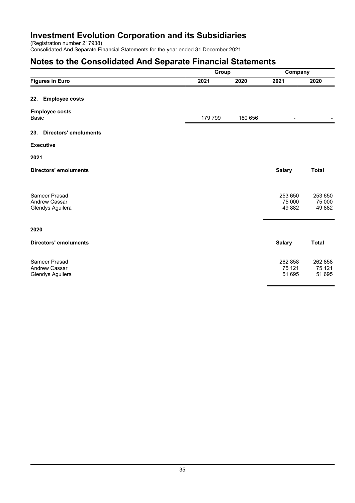(Registration number 217938)

Consolidated And Separate Financial Statements for the year ended 31 December 2021

|                                                           | Group   |         | Company                     |                             |
|-----------------------------------------------------------|---------|---------|-----------------------------|-----------------------------|
| <b>Figures in Euro</b>                                    | 2021    | 2020    | 2021                        | 2020                        |
| <b>Employee costs</b><br>22.                              |         |         |                             |                             |
| <b>Employee costs</b><br>Basic                            | 179 799 | 180 656 |                             |                             |
| <b>Directors' emoluments</b><br>23.                       |         |         |                             |                             |
| <b>Executive</b>                                          |         |         |                             |                             |
| 2021                                                      |         |         |                             |                             |
| <b>Directors' emoluments</b>                              |         |         | <b>Salary</b>               | <b>Total</b>                |
| Sameer Prasad<br><b>Andrew Cassar</b><br>Glendys Aguilera |         |         | 253 650<br>75 000<br>49 882 | 253 650<br>75 000<br>49 882 |
| 2020                                                      |         |         |                             |                             |
| <b>Directors' emoluments</b>                              |         |         | <b>Salary</b>               | <b>Total</b>                |
| Sameer Prasad<br><b>Andrew Cassar</b><br>Glendys Aguilera |         |         | 262 858<br>75 121<br>51 695 | 262 858<br>75 121<br>51 695 |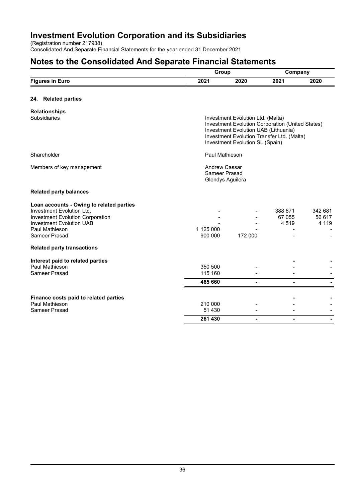(Registration number 217938)

Consolidated And Separate Financial Statements for the year ended 31 December 2021

|                                                                                                                                                                                        | Group                                              |                                                                                                                                                                                                                       | Company                   |                              |
|----------------------------------------------------------------------------------------------------------------------------------------------------------------------------------------|----------------------------------------------------|-----------------------------------------------------------------------------------------------------------------------------------------------------------------------------------------------------------------------|---------------------------|------------------------------|
| <b>Figures in Euro</b>                                                                                                                                                                 | 2021                                               | 2020                                                                                                                                                                                                                  | 2021                      | 2020                         |
| 24. Related parties                                                                                                                                                                    |                                                    |                                                                                                                                                                                                                       |                           |                              |
| <b>Relationships</b>                                                                                                                                                                   |                                                    |                                                                                                                                                                                                                       |                           |                              |
| <b>Subsidiaries</b>                                                                                                                                                                    |                                                    | Investment Evolution Ltd. (Malta)<br><b>Investment Evolution Corporation (United States)</b><br>Investment Evolution UAB (Lithuania)<br>Investment Evolution Transfer Ltd. (Malta)<br>Investment Evolution SL (Spain) |                           |                              |
| Shareholder                                                                                                                                                                            | Paul Mathieson                                     |                                                                                                                                                                                                                       |                           |                              |
| Members of key management                                                                                                                                                              | Andrew Cassar<br>Sameer Prasad<br>Glendys Aguilera |                                                                                                                                                                                                                       |                           |                              |
| <b>Related party balances</b>                                                                                                                                                          |                                                    |                                                                                                                                                                                                                       |                           |                              |
| Loan accounts - Owing to related parties<br>Investment Evolution Ltd.<br><b>Investment Evolution Corporation</b><br><b>Investment Evolution UAB</b><br>Paul Mathieson<br>Sameer Prasad | 1 125 000<br>900 000                               | 172 000                                                                                                                                                                                                               | 388 671<br>67 055<br>4519 | 342 681<br>56 617<br>4 1 1 9 |
| <b>Related party transactions</b>                                                                                                                                                      |                                                    |                                                                                                                                                                                                                       |                           |                              |
| Interest paid to related parties<br>Paul Mathieson                                                                                                                                     | 350 500                                            |                                                                                                                                                                                                                       |                           |                              |
| Sameer Prasad                                                                                                                                                                          | 115 160                                            |                                                                                                                                                                                                                       |                           |                              |
|                                                                                                                                                                                        | 465 660                                            |                                                                                                                                                                                                                       |                           |                              |
| Finance costs paid to related parties                                                                                                                                                  |                                                    |                                                                                                                                                                                                                       |                           |                              |
| Paul Mathieson<br>Sameer Prasad                                                                                                                                                        | 210 000<br>51 430                                  |                                                                                                                                                                                                                       |                           |                              |
|                                                                                                                                                                                        | 261 430                                            |                                                                                                                                                                                                                       |                           |                              |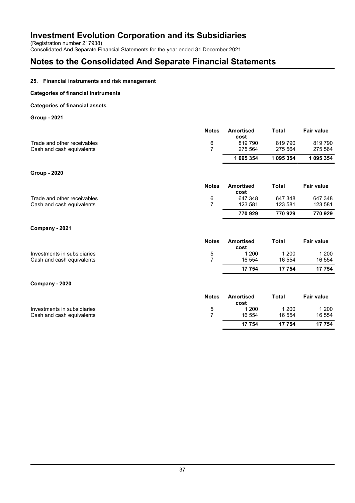(Registration number 217938)

Consolidated And Separate Financial Statements for the year ended 31 December 2021

## **Notes to the Consolidated And Separate Financial Statements**

## **25. Financial instruments and risk management**

## **Categories of financial instruments**

### **Categories of financial assets**

**Group - 2021**

|                             | <b>Notes</b>   | <b>Amortised</b><br>cost | <b>Total</b> | <b>Fair value</b> |
|-----------------------------|----------------|--------------------------|--------------|-------------------|
| Trade and other receivables | 6              | 819790                   | 819 790      | 819790            |
| Cash and cash equivalents   | $\overline{7}$ | 275 564                  | 275 564      | 275 564           |
|                             |                | 1 095 354                | 1 095 354    | 1 095 354         |
| <b>Group - 2020</b>         |                |                          |              |                   |
|                             | <b>Notes</b>   | <b>Amortised</b><br>cost | <b>Total</b> | <b>Fair value</b> |
| Trade and other receivables | 6              | 647 348                  | 647 348      | 647 348           |
| Cash and cash equivalents   | $\overline{7}$ | 123 581                  | 123 581      | 123 581           |
|                             |                | 770 929                  | 770 929      | 770929            |
| Company - 2021              |                |                          |              |                   |
|                             | <b>Notes</b>   | <b>Amortised</b><br>cost | <b>Total</b> | <b>Fair value</b> |
| Investments in subsidiaries | 5              | 1 200                    | 1 200        | 1 200             |
| Cash and cash equivalents   | $\overline{7}$ | 16 554                   | 16 554       | 16 554            |
|                             |                | 17 754                   | 17 754       | 17754             |
| Company - 2020              |                |                          |              |                   |
|                             | <b>Notes</b>   | <b>Amortised</b><br>cost | <b>Total</b> | <b>Fair value</b> |
| Investments in subsidiaries | $\frac{5}{7}$  | 1 200                    | 1 200        | 1 200             |
| Cash and cash equivalents   |                | 16 554                   | 16 554       | 16 554            |
|                             |                | 17 754                   | 17 754       | 17 754            |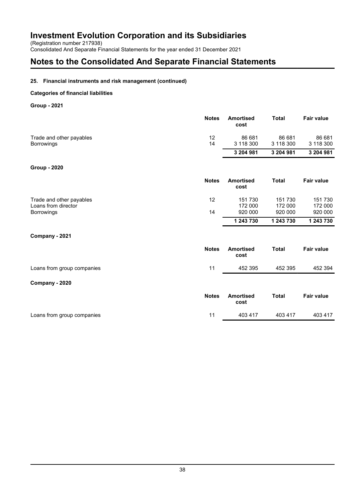(Registration number 217938)

Consolidated And Separate Financial Statements for the year ended 31 December 2021

## **Notes to the Consolidated And Separate Financial Statements**

## **25. Financial instruments and risk management (continued)**

## **Categories of financial liabilities**

**Group - 2021**

|                            | <b>Notes</b> | <b>Amortised</b><br>cost | <b>Total</b> | <b>Fair value</b> |
|----------------------------|--------------|--------------------------|--------------|-------------------|
| Trade and other payables   | 12           | 86 681                   | 86 681       | 86 681            |
| <b>Borrowings</b>          | 14           | 3 118 300                | 3 118 300    | 3 118 300         |
|                            |              | 3 204 981                | 3 204 981    | 3 204 981         |
| <b>Group - 2020</b>        |              |                          |              |                   |
|                            | <b>Notes</b> | <b>Amortised</b><br>cost | <b>Total</b> | <b>Fair value</b> |
| Trade and other payables   | 12           | 151 730                  | 151 730      | 151 730           |
| Loans from director        |              | 172 000                  | 172 000      | 172 000           |
| <b>Borrowings</b>          | 14           | 920 000                  | 920 000      | 920 000           |
|                            |              | 1 243 730                | 1 243 730    | 1 243 730         |
| Company - 2021             |              |                          |              |                   |
|                            | <b>Notes</b> | <b>Amortised</b><br>cost | <b>Total</b> | <b>Fair value</b> |
| Loans from group companies | 11           | 452 395                  | 452 395      | 452 394           |
| Company - 2020             |              |                          |              |                   |
|                            | <b>Notes</b> | <b>Amortised</b><br>cost | <b>Total</b> | <b>Fair value</b> |
| Loans from group companies | 11           | 403 417                  | 403 417      | 403 417           |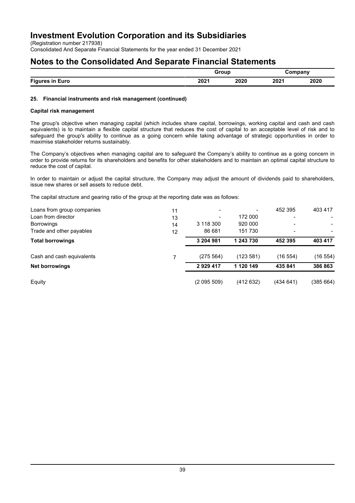(Registration number 217938)

Consolidated And Separate Financial Statements for the year ended 31 December 2021

## **Notes to the Consolidated And Separate Financial Statements**

|                        |      | Grour |                                           | $\mathsf{Jompany}$ |  |
|------------------------|------|-------|-------------------------------------------|--------------------|--|
| <b>Figures in Euro</b> | 2021 | 2020  | 2021                                      | 2020               |  |
|                        |      |       | $\sim$ $\sim$ $\sim$ $\sim$ $\sim$ $\sim$ |                    |  |

## **25. Financial instruments and risk management (continued)**

### **Capital risk management**

The group's objective when managing capital (which includes share capital, borrowings, working capital and cash and cash equivalents) is to maintain a flexible capital structure that reduces the cost of capital to an acceptable level of risk and to safeguard the group's ability to continue as a going concern while taking advantage of strategic opportunities in order to maximise stakeholder returns sustainably.

The Company's objectives when managing capital are to safeguard the Company's ability to continue as a going concern in order to provide returns for its shareholders and benefits for other stakeholders and to maintain an optimal capital structure to reduce the cost of capital.

In order to maintain or adjust the capital structure, the Company may adjust the amount of dividends paid to shareholders, issue new shares or sell assets to reduce debt.

The capital structure and gearing ratio of the group at the reporting date was as follows:

| Loans from group companies | 11 | $\overline{\phantom{a}}$ |           | 452 395                  | 403 417   |
|----------------------------|----|--------------------------|-----------|--------------------------|-----------|
| Loan from director         | 13 | $\overline{\phantom{a}}$ | 172 000   |                          |           |
| <b>Borrowings</b>          | 14 | 3 118 300                | 920 000   |                          |           |
| Trade and other payables   | 12 | 86 681                   | 151 730   | $\overline{\phantom{a}}$ |           |
| <b>Total borrowings</b>    |    | 3 204 981                | 1 243 730 | 452 395                  | 403 417   |
| Cash and cash equivalents  |    | (275 564)                | (123 581) | (16 554)                 | (16554)   |
| <b>Net borrowings</b>      |    | 2929417                  | 1 120 149 | 435 841                  | 386863    |
| Equity                     |    | (2095509)                | (412632)  | (434641)                 | (385 664) |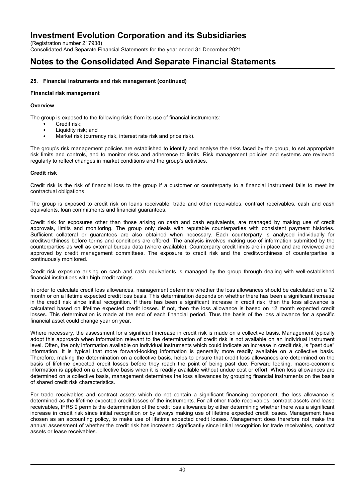(Registration number 217938)

Consolidated And Separate Financial Statements for the year ended 31 December 2021

## **Notes to the Consolidated And Separate Financial Statements**

## **25. Financial instruments and risk management (continued)**

## **Financial risk management**

## **Overview**

The group is exposed to the following risks from its use of financial instruments:

- Credit risk;
- Liquidity risk; and
- Market risk (currency risk, interest rate risk and price risk).

The group's risk management policies are established to identify and analyse the risks faced by the group, to set appropriate risk limits and controls, and to monitor risks and adherence to limits. Risk management policies and systems are reviewed regularly to reflect changes in market conditions and the group's activities.

## **Credit risk**

Credit risk is the risk of financial loss to the group if a customer or counterparty to a financial instrument fails to meet its contractual obligations.

The group is exposed to credit risk on loans receivable, trade and other receivables, contract receivables, cash and cash equivalents, loan commitments and financial guarantees.

Credit risk for exposures other than those arising on cash and cash equivalents, are managed by making use of credit approvals, limits and monitoring. The group only deals with reputable counterparties with consistent payment histories. Sufficient collateral or guarantees are also obtained when necessary. Each counterparty is analysed individually for creditworthiness before terms and conditions are offered. The analysis involves making use of information submitted by the counterparties as well as external bureau data (where available). Counterparty credit limits are in place and are reviewed and approved by credit management committees. The exposure to credit risk and the creditworthiness of counterparties is continuously monitored.

Credit risk exposure arising on cash and cash equivalents is managed by the group through dealing with well-established financial institutions with high credit ratings.

In order to calculate credit loss allowances, management determine whether the loss allowances should be calculated on a 12 month or on a lifetime expected credit loss basis. This determination depends on whether there has been a significant increase in the credit risk since initial recognition. If there has been a significant increase in credit risk, then the loss allowance is calculated based on lifetime expected credit losses. If not, then the loss allowance is based on 12 month expected credit losses. This determination is made at the end of each financial period. Thus the basis of the loss allowance for a specific financial asset could change year on year.

Where necessary, the assessment for a significant increase in credit risk is made on a collective basis. Management typically adopt this approach when information relevant to the determination of credit risk is not available on an individual instrument level. Often, the only information available on individual instruments which could indicate an increase in credit risk, is "past due" information. It is typical that more forward-looking information is generally more readily available on a collective basis. Therefore, making the determination on a collective basis, helps to ensure that credit loss allowances are determined on the basis of lifetime expected credit losses before they reach the point of being past due. Forward looking, macro-economic information is applied on a collective basis when it is readily available without undue cost or effort. When loss allowances are determined on a collective basis, management determines the loss allowances by grouping financial instruments on the basis of shared credit risk characteristics.

For trade receivables and contract assets which do not contain a significant financing component, the loss allowance is determined as the lifetime expected credit losses of the instruments. For all other trade receivables, contract assets and lease receivables, IFRS 9 permits the determination of the credit loss allowance by either determining whether there was a significant increase in credit risk since initial recognition or by always making use of lifetime expected credit losses. Management have chosen as an accounting policy, to make use of lifetime expected credit losses. Management does therefore not make the annual assessment of whether the credit risk has increased significantly since initial recognition for trade receivables, contract assets or lease receivables.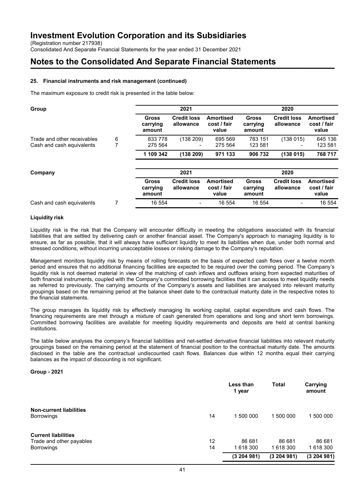(Registration number 217938)

Consolidated And Separate Financial Statements for the year ended 31 December 2021

## **Notes to the Consolidated And Separate Financial Statements**

## **25. Financial instruments and risk management (continued)**

The maximum exposure to credit risk is presented in the table below:

| Group                       |   |                                    | 2021                            |                                          |                             | 2020                            |                                          |
|-----------------------------|---|------------------------------------|---------------------------------|------------------------------------------|-----------------------------|---------------------------------|------------------------------------------|
|                             |   | <b>Gross</b><br>carrying<br>amount | <b>Credit loss</b><br>allowance | <b>Amortised</b><br>cost / fair<br>value | Gross<br>carrying<br>amount | <b>Credit loss</b><br>allowance | <b>Amortised</b><br>cost / fair<br>value |
| Trade and other receivables | 6 | 833 778                            | (138 209)                       | 695 569                                  | 783 151                     | (138015)                        | 645 136                                  |
| Cash and cash equivalents   | 7 | 275 564                            | $\overline{\phantom{0}}$        | 275 564                                  | 123 581                     |                                 | 123 581                                  |
|                             |   | 1 109 342                          | (138 209)                       | 971 133                                  | 906 732                     | (138015)                        | 768 717                                  |
| Company                     |   |                                    | 2021                            |                                          |                             | 2020                            |                                          |
|                             |   | <b>Gross</b><br>carrying<br>amount | <b>Credit loss</b><br>allowance | Amortised<br>cost / fair<br>value        | Gross<br>carrying<br>amount | <b>Credit loss</b><br>allowance | <b>Amortised</b><br>cost / fair<br>value |
| Cash and cash equivalents   |   | 16 554                             |                                 | 16 554                                   | 16 554                      |                                 | 16 554                                   |

### **Liquidity risk**

Liquidity risk is the risk that the Company will encounter difficulty in meeting the obligations associated with its financial liabilities that are settled by delivering cash or another financial asset. The Company's approach to managing liquidity is to ensure, as far as possible, that it will always have sufficient liquidity to meet its liabilities when due, under both normal and stressed conditions, without incurring unacceptable losses or risking damage to the Company's reputation.

Management monitors liquidity risk by means of rolling forecasts on the basis of expected cash flows over a twelve month period and ensures that no additional financing facilities are expected to be required over the coming period. The Company's liquidity risk is not deemed material in view of the matching of cash inflows and outflows arising from expected maturities of both financial instruments, coupled with the Company's committed borrowing facilities that it can access to meet liquidity needs as referred to previously. The carrying amounts of the Company's assets and liabilities are analysed into relevant maturity groupings based on the remaining period at the balance sheet date to the contractual maturity date in the respective notes to the financial statements.

The group manages its liquidity risk by effectively managing its working capital, capital expenditure and cash flows. The financing requirements are met through a mixture of cash generated from operations and long and short term borrowings. Committed borrowing facilities are available for meeting liquidity requirements and deposits are held at central banking institutions.

The table below analyses the company's financial liabilities and net-settled derivative financial liabilities into relevant maturity groupings based on the remaining period at the statement of financial position to the contractual maturity date. The amounts disclosed in the table are the contractual undiscounted cash flows. Balances due within 12 months equal their carrying balances as the impact of discounting is not significant.

#### **Group - 2021**

|                                                     |    | Less than<br>1 year | <b>Total</b> | Carrying<br>amount |
|-----------------------------------------------------|----|---------------------|--------------|--------------------|
| <b>Non-current liabilities</b><br><b>Borrowings</b> | 14 | 1 500 000           | 1 500 000    | 500 000            |
| <b>Current liabilities</b>                          |    |                     |              |                    |
| Trade and other payables                            | 12 | 86 681              | 86 681       | 86 681             |
| <b>Borrowings</b>                                   | 14 | 1 618 300           | 1 618 300    | 1 618 300          |
|                                                     |    | (3204981)           | (3204981)    | (3204981)          |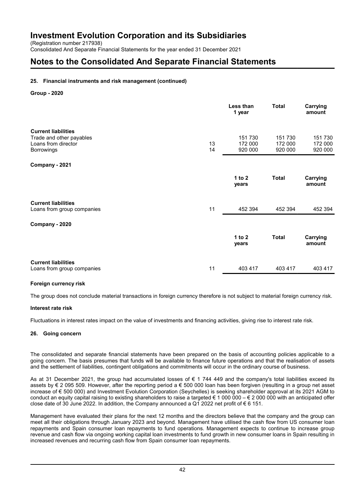(Registration number 217938)

Consolidated And Separate Financial Statements for the year ended 31 December 2021

## **Notes to the Consolidated And Separate Financial Statements**

## **25. Financial instruments and risk management (continued)**

### **Group - 2020**

|                                                                                             |          | Less than<br>1 year           | <b>Total</b>                  | Carrying<br>amount            |
|---------------------------------------------------------------------------------------------|----------|-------------------------------|-------------------------------|-------------------------------|
| <b>Current liabilities</b><br>Trade and other payables<br>Loans from director<br>Borrowings | 13<br>14 | 151 730<br>172 000<br>920 000 | 151 730<br>172 000<br>920 000 | 151 730<br>172 000<br>920 000 |
| Company - 2021                                                                              |          |                               |                               |                               |
|                                                                                             |          | 1 to $2$<br>years             | <b>Total</b>                  | Carrying<br>amount            |
| <b>Current liabilities</b><br>Loans from group companies                                    | 11       | 452 394                       | 452 394                       | 452 394                       |
| Company - 2020                                                                              |          |                               |                               |                               |
|                                                                                             |          | 1 to $2$<br>years             | <b>Total</b>                  | Carrying<br>amount            |
| <b>Current liabilities</b><br>Loans from group companies                                    | 11       | 403 417                       | 403 417                       | 403 417                       |

#### **Foreign currency risk**

The group does not conclude material transactions in foreign currency therefore is not subject to material foreign currency risk.

## **Interest rate risk**

Fluctuations in interest rates impact on the value of investments and financing activities, giving rise to interest rate risk.

## **26. Going concern**

The consolidated and separate financial statements have been prepared on the basis of accounting policies applicable to a going concern. The basis presumes that funds will be available to finance future operations and that the realisation of assets and the settlement of liabilities, contingent obligations and commitments will occur in the ordinary course of business.

As at 31 December 2021, the group had accumulated losses of € 1 744 449 and the company's total liabilities exceed its assets by € 2 095 509. However, after the reporting period a € 500 000 loan has been forgiven (resulting in a group net asset increase of € 500 000) and Investment Evolution Corporation (Seychelles) is seeking shareholder approval at its 2021 AGM to conduct an equity capital raising to existing shareholders to raise a targeted  $\epsilon$  1 000 000 –  $\epsilon$  2 000 000 with an anticipated offer close date of 30 June 2022. In addition, the Company announced a Q1 2022 net profit of  $\epsilon$  6 151.

Management have evaluated their plans for the next 12 months and the directors believe that the company and the group can meet all their obligations through January 2023 and beyond. Management have utilised the cash flow from US consumer loan repayments and Spain consumer loan repayments to fund operations. Management expects to continue to increase group revenue and cash flow via ongoing working capital loan investments to fund growth in new consumer loans in Spain resulting in increased revenues and recurring cash flow from Spain consumer loan repayments.